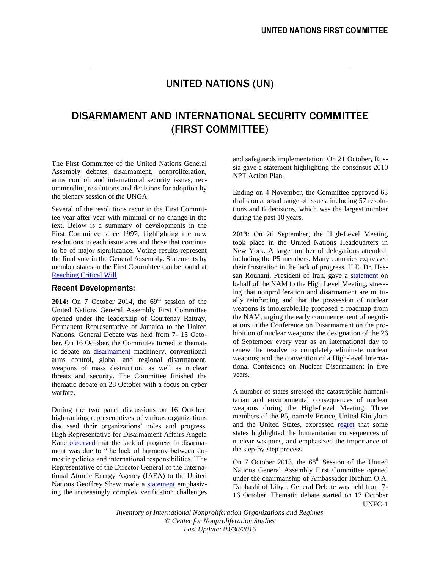# UNITED NATIONS (UN)

# DISARMAMENT AND INTERNATIONAL SECURITY COMMITTEE (FIRST COMMITTEE)

The First Committee of the United Nations General Assembly debates disarmament, nonproliferation, arms control, and international security issues, recommending resolutions and decisions for adoption by the plenary session of the UNGA.

Several of the resolutions recur in the First Committee year after year with minimal or no change in the text. Below is a summary of developments in the First Committee since 1997, highlighting the new resolutions in each issue area and those that continue to be of major significance. Voting results represent the final vote in the General Assembly. Statements by member states in the First Committee can be found at [Reaching Critical Will.](http://www.reachingcriticalwill.org/)

# Recent Developments:

**2014:** On 7 October 2014, the  $69<sup>th</sup>$  session of the United Nations General Assembly First Committee opened under the leadership of Courtenay Rattray, Permanent Representative of Jamaica to the United Nations. General Debate was held from 7- 15 October. On 16 October, the Committee turned to thematic debate on [disarmament](http://www.un.org/press/en/2014/gadis3495.doc.htm) machinery, conventional arms control, global and regional disarmament, weapons of mass destruction, as well as nuclear threats and security. The Committee finished the thematic debate on 28 October with a focus on cyber warfare.

During the two panel discussions on 16 October, high-ranking representatives of various organizations discussed their organizations' roles and progress. High Representative for Disarmament Affairs Angela Kane **observed** that the lack of progress in disarmament was due to "the lack of harmony between domestic policies and international responsibilities."The Representative of the Director General of the International Atomic Energy Agency (IAEA) to the United Nations Geoffrey Shaw made a [statement](http://www.reachingcriticalwill.org/images/documents/Disarmament-fora/1com/1com14/statements/16Oct_IAEA.pdf) emphasizing the increasingly complex verification challenges and safeguards implementation. On 21 October, Russia gave a statement highlighting the consensus 2010 NPT Action Plan.

Ending on 4 November, the Committee approved 63 drafts on a broad range of issues, including 57 resolutions and 6 decisions, which was the largest number during the past 10 years.

**2013:** On 26 September, the High-Level Meeting took place in the United Nations Headquarters in New York. A large number of delegations attended, including the P5 members. Many countries expressed their frustration in the lack of progress. H.E. Dr. Hassan Rouhani, President of Iran, gave a [statement](http://www.reachingcriticalwill.org/images/documents/Disarmament-fora/HLM/26Sep_NAM.pdf) on behalf of the NAM to the High Level Meeting, stressing that nonproliferation and disarmament are mutually reinforcing and that the possession of nuclear weapons is intolerable.He proposed a roadmap from the NAM, urging the early commencement of negotiations in the Conference on Disarmament on the prohibition of nuclear weapons; the designation of the 26 of September every year as an international day to renew the resolve to completely eliminate nuclear weapons; and the convention of a High-level International Conference on Nuclear Disarmament in five years.

A number of states stressed the catastrophic humanitarian and environmental consequences of nuclear weapons during the High-Level Meeting. Three members of the P5, namely France, United Kingdom and the United States, expressed [regret](http://www.reachingcriticalwill.org/images/documents/Disarmament-fora/HLM/26Sep_UKUSFrance.pdf) that some states highlighted the humanitarian consequences of nuclear weapons, and emphasized the importance of the step-by-step process.

UNFC-1 On 7 October 2013, the  $68<sup>th</sup>$  Session of the United Nations General Assembly First Committee opened under the chairmanship of Ambassador Ibrahim O.A. Dabbashi of Libya. General Debate was held from 7- 16 October. Thematic debate started on 17 October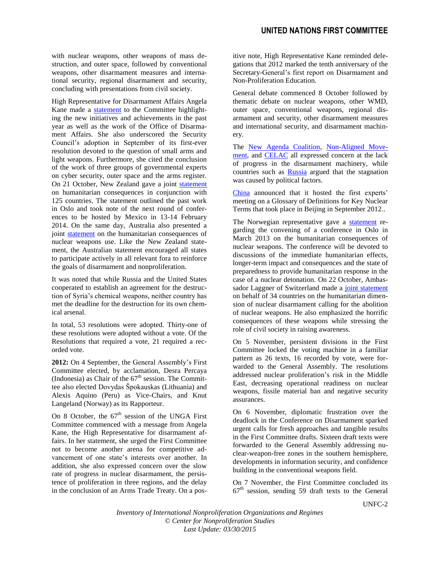with nuclear weapons, other weapons of mass destruction, and outer space, followed by conventional weapons, other disarmament measures and international security, regional disarmament and security, concluding with presentations from civil society.

High Representative for Disarmament Affairs Angela Kane made a [statement](http://www.reachingcriticalwill.org/images/documents/Disarmament-fora/1com/1com13/statements/7Oct_Kane.pdf) to the Committee highlighting the new initiatives and achievements in the past year as well as the work of the Office of Disarmament Affairs. She also underscored the Security Council's adoption in September of its first-ever resolution devoted to the question of small arms and light weapons. Furthermore, she cited the conclusion of the work of three groups of governmental experts on cyber security, outer space and the arms register. On 21 October, New Zealand gave a joint [statement](http://www.reachingcriticalwill.org/images/documents/Disarmament-fora/1com/1com13/statements/21Oct_Joint.pdf) on humanitarian consequences in conjunction with 125 countries. The statement outlined the past work in Oslo and took note of the next round of conferences to be hosted by Mexico in 13-14 February 2014. On the same day, Australia also presented a joint [statement](http://www.reachingcriticalwill.org/images/documents/Disarmament-fora/1com/1com13/statements/21Oct_Australia2.pdf) on the humanitarian consequences of nuclear weapons use. Like the New Zealand statement, the Australian statement encouraged all states to participate actively in all relevant fora to reinforce the goals of disarmament and nonproliferation.

It was noted that while Russia and the United States cooperated to establish an agreement for the destruction of Syria's chemical weapons, neither country has met the deadline for the destruction for its own chemical arsenal.

In total, 53 resolutions were adopted. Thirty-one of these resolutions were adopted without a vote. Of the Resolutions that required a vote, 21 required a recorded vote.

**2012:** On 4 September, the General Assembly's First Committee elected, by acclamation, Desra Percaya (Indonesia) as Chair of the  $67<sup>th</sup>$  session. The Committee also elected Dovydas Špokauskas (Lithuania) and Alexis Aquino (Peru) as Vice-Chairs, and Knut Langeland (Norway) as its Rapporteur.

On 8 October, the  $67<sup>th</sup>$  session of the UNGA First Committee commenced with a message from Angela Kane, the High Representative for disarmament affairs. In her statement, she urged the First Committee not to become another arena for competitive advancement of one state's interests over another. In addition, she also expressed concern over the slow rate of progress in nuclear disarmament, the persistence of proliferation in three regions, and the delay in the conclusion of an Arms Trade Treaty. On a positive note, High Representative Kane reminded delegations that 2012 marked the tenth anniversary of the Secretary-General's first report on Disarmament and Non-Proliferation Education.

General debate commenced 8 October followed by thematic debate on nuclear weapons, other WMD, outer space, conventional weapons, regional disarmament and security, other disarmament measures and international security, and disarmament machinery.

The [New Agenda Coalition,](http://www.reachingcriticalwill.org/images/documents/Disarmament-fora/1com/1com12/statements/8Oct_NAC.pdf) [Non-Aligned Move](http://www.reachingcriticalwill.org/images/documents/Disarmament-fora/1com/1com12/statements/8Oct_NAM.pdf)[ment,](http://www.reachingcriticalwill.org/images/documents/Disarmament-fora/1com/1com12/statements/8Oct_NAM.pdf) and [CELAC](http://www.reachingcriticalwill.org/images/documents/Disarmament-fora/1com/1com12/statements/8Oct_CELAC.pdf) all expressed concern at the lack of progress in the disarmament machinery, while countries such as **Russia** argued that the stagnation was caused by political factors.

[China](http://www.reachingcriticalwill.org/images/documents/Disarmament-fora/1com/1com12/statements/11Oct_China.pdf) announced that it hosted the first experts' meeting on a Glossary of Definitions for Key Nuclear Terms that took place in Beijing in September 2012..

The Norwegian representative gave a [statement](http://www.reachingcriticalwill.org/images/documents/Disarmament-fora/1com/1com12/statements/12Oct_Norway.pdf) regarding the convening of a conference in Oslo in March 2013 on the humanitarian consequences of nuclear weapons. The conference will be devoted to discussions of the immediate humanitarian effects, longer-term impact and consequences and the state of preparedness to provide humanitarian response in the case of a nuclear detonation. On 22 October, Ambassador Laggner of Switzerland made a [joint statement](http://www.reachingcriticalwill.org/images/documents/Disarmament-fora/1com/1com12/statements/22Oct_Switzerland.pdf) on behalf of 34 countries on the humanitarian dimension of nuclear disarmament calling for the abolition of nuclear weapons. He also emphasized the horrific consequences of these weapons while stressing the role of civil society in raising awareness.

On 5 November, persistent divisions in the First Committee locked the voting machine in a familiar pattern as 26 texts, 16 recorded by vote, were forwarded to the General Assembly. The resolutions addressed nuclear proliferation's risk in the Middle East, decreasing operational readiness on nuclear weapons, fissile material ban and negative security assurances.

On 6 November, diplomatic frustration over the deadlock in the Conference on Disarmament sparked urgent calls for fresh approaches and tangible results in the First Committee drafts. Sixteen draft texts were forwarded to the General Assembly addressing nuclear-weapon-free zones in the southern hemisphere, developments in information security, and confidence building in the conventional weapons field.

On 7 November, the First Committee concluded its  $67<sup>th</sup>$  session, sending 59 draft texts to the General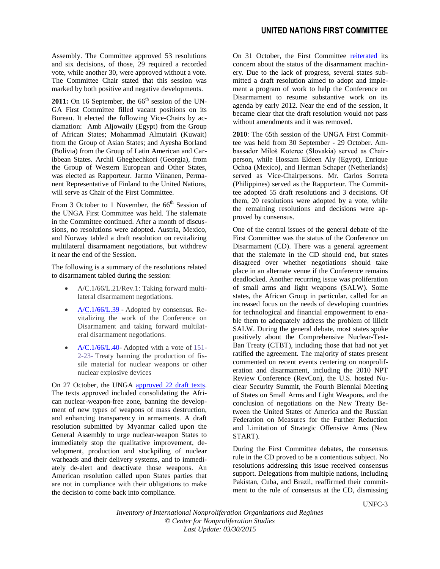Assembly. The Committee approved 53 resolutions and six decisions, of those, 29 required a recorded vote, while another 30, were approved without a vote. The Committee Chair stated that this session was marked by both positive and negative developments.

 $2011$ : On 16 September, the  $66<sup>th</sup>$  session of the UN-GA First Committee filled vacant positions on its Bureau. It elected the following Vice-Chairs by acclamation: Amb Aljowaily (Egypt) from the Group of African States; Mohammad Almutairi (Kuwait) from the Group of Asian States; and Ayesha Borland (Bolivia) from the Group of Latin American and Caribbean States. Archil Gheghechkori (Georgia), from the Group of Western European and Other States, was elected as Rapporteur. Jarmo Viinanen, Permanent Representative of Finland to the United Nations, will serve as Chair of the First Committee.

From 3 October to 1 November, the  $66<sup>th</sup>$  Session of the UNGA First Committee was held. The stalemate in the Committee continued. After a month of discussions, no resolutions were adopted. Austria, Mexico, and Norway tabled a draft resolution on revitalizing multilateral disarmament negotiations, but withdrew it near the end of the Session.

The following is a summary of the resolutions related to disarmament tabled during the session:

- [A/C.1/66/L.21/Rev.1:](http://www.reachingcriticalwill.org/images/documents/Disarmament-fora/1com/1com11/res/taking-forward-multilateral-disarmament-negotiations.pdf) Taking forward multilateral disarmament negotiations.
- [A/C.1/66/L.39](http://www.reachingcriticalwill.org/images/documents/Disarmament-fora/1com/1com11/res/L39.pdf) Adopted by consensus. Revitalizing the work of the Conference on Disarmament and taking forward multilateral disarmament negotiations.
- [A/C.1/66/L.40-](http://www.reachingcriticalwill.org/images/documents/Disarmament-fora/1com/1com11/res/L40Rev1a.pdf) Adopted with a vote of [151-](http://www.reachingcriticalwill.org/images/documents/Disarmament-fora/1com/1com11/votes/L40Rev1whole.pdf) [2-23-](http://www.reachingcriticalwill.org/images/documents/Disarmament-fora/1com/1com11/votes/L40Rev1whole.pdf) Treaty banning the production of fissile material for nuclear weapons or other nuclear explosive devices

On 27 October, the UNGA [approved 22 draft texts.](http://www.un.org/News/Press/docs/2011/gadis3447.doc.htm) The texts approved included consolidating the African nuclear-weapon-free zone, banning the development of new types of weapons of mass destruction, and enhancing transparency in armaments. A draft resolution submitted by Myanmar called upon the General Assembly to urge nuclear-weapon States to immediately stop the qualitative improvement, development, production and stockpiling of nuclear warheads and their delivery systems, and to immediately de-alert and deactivate those weapons. An American resolution called upon States parties that are not in compliance with their obligations to make the decision to come back into compliance.

On 31 October, the First Committee [reiterated](http://www.un.org/News/Press/docs/2011/gadis3448.doc.htm) its concern about the status of the disarmament machinery. Due to the lack of progress, several states submitted a draft resolution aimed to adopt and implement a program of work to help the Conference on Disarmament to resume substantive work on its agenda by early 2012. Near the end of the session, it became clear that the draft resolution would not pass without amendments and it was removed.

**2010**: The 65th session of the UNGA First Committee was held from 30 September - 29 October. Ambassador Miloš Koterec (Slovakia) served as Chairperson, while Hossam Eldeen Aly (Egypt), Enrique Ochoa (Mexico), and Herman Schaper (Netherlands) served as Vice-Chairpersons. Mr. Carlos Sorreta (Philippines) served as the Rapporteur. The Committee adopted 55 draft resolutions and 3 decisions. Of them, 20 resolutions were adopted by a vote, while the remaining resolutions and decisions were approved by consensus.

One of the central issues of the general debate of the First Committee was the status of the Conference on Disarmament (CD). There was a general agreement that the stalemate in the CD should end, but states disagreed over whether negotiations should take place in an alternate venue if the Conference remains deadlocked. Another recurring issue was proliferation of small arms and light weapons (SALW). Some states, the African Group in particular, called for an increased focus on the needs of developing countries for technological and financial empowerment to enable them to adequately address the problem of illicit SALW. During the general debate, most states spoke positively about the Comprehensive Nuclear-Test-Ban Treaty (CTBT), including those that had not yet ratified the agreement. The majority of states present commented on recent events centering on nonproliferation and disarmament, including the 2010 NPT Review Conference (RevCon), the U.S. hosted Nuclear Security Summit, the Fourth Biennial Meeting of States on Small Arms and Light Weapons, and the conclusion of negotiations on the New Treaty Between the United States of America and the Russian Federation on Measures for the Further Reduction and Limitation of Strategic Offensive Arms (New START).

During the First Committee debates, the consensus rule in the CD proved to be a contentious subject. No resolutions addressing this issue received consensus support. Delegations from multiple nations, including Pakistan, Cuba, and Brazil, reaffirmed their commitment to the rule of consensus at the CD, dismissing

UNFC-3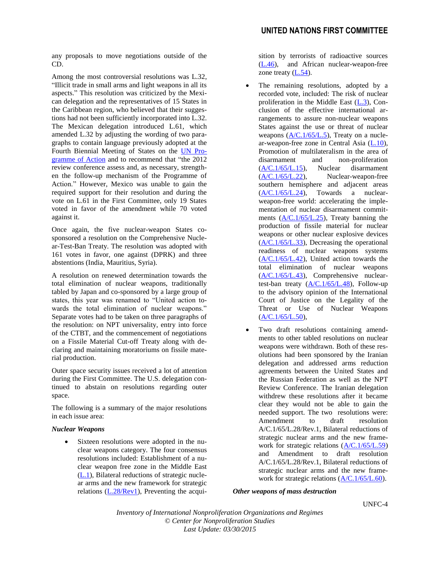any proposals to move negotiations outside of the CD.

Among the most controversial resolutions was [L.32,](http://daccess-dds-ny.un.org/doc/UNDOC/LTD/N10/586/38/PDF/N1058638.pdf?OpenElement) "Illicit trade in small arms and light weapons in all its aspects." This resolution was criticized by the Mexican delegation and the representatives of 15 States in the Caribbean region, who believed that their suggestions had not been sufficiently incorporated into L.32. The Mexican delegation introduced [L.61,](http://www.reachingcriticalwill.org/political/1com/1com10/res/L61.pdf) which amended L.32 by adjusting the wording of two paragraphs to contain language previously adopted at the Fourth Biennial Meeting of States on the [UN Pro](sarms.pdf)[gramme of Action](sarms.pdf) and to recommend that "the 2012 review conference assess and, as necessary, strengthen the follow-up mechanism of the Programme of Action." However, Mexico was unable to gain the required support for their resolution and during the vote on L.61 in the First Committee, only 19 States voted in favor of the amendment while 70 voted against it.

Once again, the five nuclear-weapon States cosponsored a resolution on the Comprehensive Nuclear-Test-Ban Treaty. The resolution was adopted with 161 votes in favor, one against (DPRK) and three abstentions (India, Mauritius, Syria).

A resolution on renewed determination towards the total elimination of nuclear weapons, traditionally tabled by Japan and co-sponsored by a large group of states, this year was renamed to "United action towards the total elimination of nuclear weapons." Separate votes had to be taken on three paragraphs of the resolution: on NPT universality, entry into force of the CTBT, and the commencement of negotiations on a Fissile Material Cut-off Treaty along with declaring and maintaining moratoriums on fissile material production.

Outer space security issues received a lot of attention during the First Committee. The U.S. delegation continued to abstain on resolutions regarding outer space.

The following is a summary of the major resolutions in each issue area:

#### *Nuclear Weapons*

 Sixteen resolutions were adopted in the nuclear weapons category. The four consensus resolutions included: Establishment of a nuclear weapon free zone in the Middle East [\(L.1\)](http://www.reachingcriticalwill.org/political/1com/1com10/res/L1.pdf), Bilateral reductions of strategic nuclear arms and the new framework for strategic relations [\(L.28/Rev1\)](http://www.reachingcriticalwill.org/political/1com/1com10/res/L28Rev1.pdf), Preventing the acquisition by terrorists of radioactive sources [\(L.46\)](http://www.reachingcriticalwill.org/political/1com/1com10/res/L46.pdf), and African nuclear-weapon-free zone treaty [\(L.54\)](http://www.reachingcriticalwill.org/political/1com/1com10/res/L54.pdf).

- The remaining resolutions, adopted by a recorded vote, included: The risk of nuclear proliferation in the Middle East [\(L.3\)](http://www.reachingcriticalwill.org/political/1com/1com10/res/L3.pdf), Conclusion of the effective international arrangements to assure non-nuclear weapons States against the use or threat of nuclear weapons [\(A/C.1/65/L.5\)](http://www.reachingcriticalwill.org/political/1com/1com10/res/L5.pdf), Treaty on a nuclear-weapon-free zone in Central Asia [\(L.10\)](http://www.reachingcriticalwill.org/political/1com/1com10/res/L10.pdf), Promotion of multilateralism in the area of disarmament and non-proliferation [\(A/C.1/65/L.15\)](http://www.reachingcriticalwill.org/political/1com/1com10/res/L15.pdf), Nuclear disarmament  $(A/C.1/65/L.22)$ , Nuclear-weapon-free southern hemisphere and adjacent areas  $(A/C.1/65/L.24)$ , Towards a nuclearweapon-free world: accelerating the implementation of nuclear disarmament commitments ( $\frac{\text{A/C}.1}{\text{65/L}.25}$ ), Treaty banning the production of fissile material for nuclear weapons or other nuclear explosive devices [\(A/C.1/65/L.33\)](http://www.reachingcriticalwill.org/political/1com/1com10/res/L33.pdf), Decreasing the operational readiness of nuclear weapons systems  $(A/C.1/65/L.42)$ , United action towards the total elimination of nuclear weapons [\(A/C.1/65/L.43\)](http://www.reachingcriticalwill.org/political/1com/1com10/res/L43.pdf), Comprehensive nucleartest-ban treaty  $(A/C.1/65/L.48)$ , Follow-up to the advisory opinion of the International Court of Justice on the Legality of the Threat or Use of Nuclear Weapons [\(A/C.1/65/L.50\)](http://www.reachingcriticalwill.org/political/1com/1com10/res/L50.pdf),
- Two draft resolutions containing amendments to other tabled resolutions on nuclear weapons were withdrawn. Both of these resolutions had been sponsored by the Iranian delegation and addressed arms reduction agreements between the United States and the Russian Federation as well as the NPT Review Conference. The Iranian delegation withdrew these resolutions after it became clear they would not be able to gain the needed support. The two resolutions were: Amendment to draft resolution A/C.1/65/L.28/Rev.1, Bilateral reductions of strategic nuclear arms and the new framework for strategic relations [\(A/C.1/65/L.59\)](http://www.reachingcriticalwill.org/political/1com/1com10/res/L59.pdf) and Amendment to draft resolution A/C.1/65/L.28/Rev.1, Bilateral reductions of strategic nuclear arms and the new framework for strategic relations [\(A/C.1/65/L.60\)](http://www.reachingcriticalwill.org/political/1com/1com10/res/L60.pdf).

#### *Other weapons of mass destruction*

UNFC-4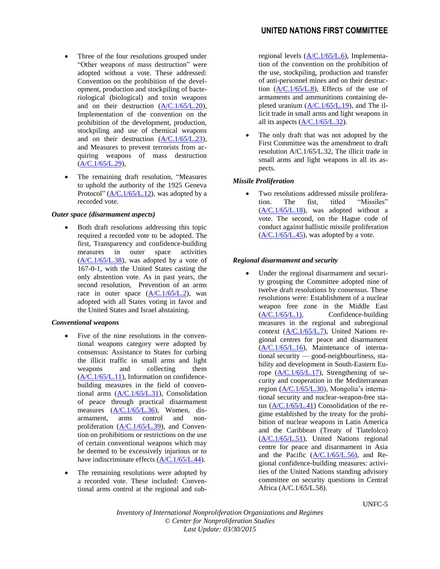- Three of the four resolutions grouped under "Other weapons of mass destruction" were adopted without a vote. These addressed: Convention on the prohibition of the development, production and stockpiling of bacteriological (biological) and toxin weapons and on their destruction [\(A/C.1/65/L.20\)](http://www.reachingcriticalwill.org/political/1com/1com10/res/L20.pdf), Implementation of the convention on the prohibition of the development, production, stockpiling and use of chemical weapons and on their destruction  $(A/C.1/65/L.23)$ , and Measures to prevent terrorists from acquiring weapons of mass destruction  $(A/C.1/65/L.29)$ ,
- The remaining draft resolution, "Measures to uphold the authority of the 1925 Geneva Protocol" ( $A/C.1/65/L.12$ ), was adopted by a recorded vote.

#### *Outer space (disarmament aspects)*

 Both draft resolutions addressing this topic required a recorded vote to be adopted. The first, Transparency and confidence-building measures in outer space activities  $(A/C.1/65/L.38)$ , was adopted by a vote of 167-0-1, with the United States casting the only abstention vote. As in past years, the second resolution, Prevention of an arms race in outer space  $(A/C.1/65/L.2)$ , was adopted with all States voting in favor and the United States and Israel abstaining.

#### *Conventional weapons*

- Five of the nine resolutions in the conventional weapons category were adopted by consensus: Assistance to States for curbing the illicit traffic in small arms and light weapons and collecting them [\(A/C.1/65/L.11\)](http://www.reachingcriticalwill.org/political/1com/1com10/res/L11.pdf), Information on confidencebuilding measures in the field of conventional arms [\(A/C.1/65/L.31\)](http://www.reachingcriticalwill.org/political/1com/1com10/res/L31.pdf), Consolidation of peace through practical disarmament measures  $(A/C.1/65/L.36)$ , Women, disarmament, arms control and nonproliferation [\(A/C.1/65/L.39\)](http://www.reachingcriticalwill.org/political/1com/1com10/res/L39.pdf), and Convention on prohibitions or restrictions on the use of certain conventional weapons which may be deemed to be excessively injurious or to have indiscriminate effects [\(A/C.1/65/L.44\)](http://www.reachingcriticalwill.org/political/1com/1com10/res/L44.pdf).
- The remaining resolutions were adopted by a recorded vote. These included: Conventional arms control at the regional and sub-

# **UNITED NATIONS FIRST COMMITTEE**

regional levels [\(A/C.1/65/L.6\)](http://www.reachingcriticalwill.org/political/1com/1com10/res/L6.pdf), Implementation of the convention on the prohibition of the use, stockpiling, production and transfer of anti-personnel mines and on their destruction [\(A/C.1/65/L.8\)](http://www.reachingcriticalwill.org/political/1com/1com10/res/L8.pdf), Effects of the use of armaments and ammunitions containing depleted uranium [\(A/C.1/65/L.19\)](http://www.reachingcriticalwill.org/political/1com/1com10/res/L19.pdf), and The illicit trade in small arms and light weapons in all its aspects [\(A/C.1/65/L.32\)](http://www.reachingcriticalwill.org/political/1com/1com10/res/L32.pdf).

 The only draft that was not adopted by the First Committee was the amendment to draft resolution A/C.1/65/L.32, The illicit trade in small arms and light weapons in all its aspects.

#### *Missile Proliferation*

 Two resolutions addressed missile proliferation. The fist, titled "Missiles" [\(A/C.1/65/L.18\)](http://www.reachingcriticalwill.org/political/1com/1com10/res/L18.pdf), was adopted without a vote. The second, on the Hague code of conduct against ballistic missile proliferation  $(A/C.1/65/L.45)$ , was adopted by a vote.

#### *Regional disarmament and security*

 Under the regional disarmament and security grouping the Committee adopted nine of twelve draft resolutions by consensus. These resolutions were: Establishment of a nuclear weapon free zone in the Middle East  $(A/C.1/65/L.1)$ , Confidence-building measures in the regional and subregional context  $(A/C.1/65/L.7)$ , United Nations regional centres for peace and disarmament [\(A/C.1/65/L.16\)](http://www.reachingcriticalwill.org/political/1com/1com10/res/L16.pdf), Maintenance of international security — good-neighbourliness, stability and development in South-Eastern Europe [\(A/C.1/65/L.17\)](http://www.reachingcriticalwill.org/political/1com/1com10/res/L17.pdf), Strengthening of security and cooperation in the Mediterranean region [\(A/C.1/65/L.30\)](http://www.reachingcriticalwill.org/political/1com/1com10/res/L30.pdf), Mongolia's international security and nuclear-weapon-free status [\(A/C.1/65/L.41\)](http://www.reachingcriticalwill.org/political/1com/1com10/res/L41.pdf) Consolidation of the regime established by the treaty for the prohibition of nuclear weapons in Latin America and the Caribbean (Treaty of Tlatelolco) [\(A/C.1/65/L.51\)](http://www.reachingcriticalwill.org/political/1com/1com10/res/L51.pdf), United Nations regional centre for peace and disarmament in Asia and the Pacific [\(A/C.1/65/L.56\)](http://www.reachingcriticalwill.org/political/1com/1com10/res/L56.pdf), and Regional confidence-building measures: activities of the United Nations standing advisory committee on security questions in Central Africa (A/C.1/65/L.58).

UNFC-5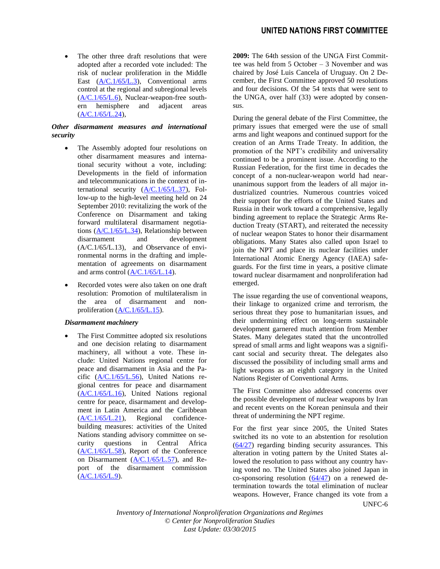The other three draft resolutions that were adopted after a recorded vote included: The risk of nuclear proliferation in the Middle East [\(A/C.1/65/L.3\)](http://www.reachingcriticalwill.org/political/1com/1com10/res/L3.pdf), Conventional arms control at the regional and subregional levels [\(A/C.1/65/L.6\)](http://www.reachingcriticalwill.org/political/1com/1com10/res/L6.pdf), Nuclear-weapon-free southern hemisphere and adjacent areas  $(A/C.1/65/L.24)$ 

# *Other disarmament measures and international security*

- The Assembly adopted four resolutions on other disarmament measures and international security without a vote, including: Developments in the field of information and telecommunications in the context of international security [\(A/C.1/65/L.37\)](http://www.reachingcriticalwill.org/political/1com/1com10/res/L37.pdf), Follow-up to the high-level meeting held on 24 September 2010: revitalizing the work of the Conference on Disarmament and taking forward multilateral disarmament negotiations [\(A/C.1/65/L.34\)](http://www.reachingcriticalwill.org/political/1com/1com10/res/L34Rev1.pdf), Relationship between disarmament and development  $(A/C.1/65/L.13)$ , and Observance of environmental norms in the drafting and implementation of agreements on disarmament and arms control  $(A/C.1/65/L.14)$ .
- Recorded votes were also taken on one draft resolution: Promotion of multilateralism in the area of disarmament and nonproliferation [\(A/C.1/65/L.15\)](http://www.reachingcriticalwill.org/political/1com/1com10/res/L15.pdf).

# *Disarmament machinery*

 The First Committee adopted six resolutions and one decision relating to disarmament machinery, all without a vote. These include: United Nations regional centre for peace and disarmament in Asia and the Pacific [\(A/C.1/65/L.56\)](http://www.reachingcriticalwill.org/political/1com/1com10/res/L56.pdf), United Nations regional centres for peace and disarmament [\(A/C.1/65/L.16\)](http://www.reachingcriticalwill.org/political/1com/1com10/res/L16.pdf), United Nations regional centre for peace, disarmament and development in Latin America and the Caribbean [\(A/C.1/65/L.21\)](http://www.reachingcriticalwill.org/political/1com/1com10/res/L21.pdf), Regional confidencebuilding measures: activities of the United Nations standing advisory committee on security questions in Central Africa [\(A/C.1/65/L.58\)](http://www.reachingcriticalwill.org/political/1com/1com10/res/L58.pdf), Report of the Conference on Disarmament  $(A/C.1/65/L.57)$ , and Report of the disarmament commission  $(A/C.1/65/L.9)$ .

**2009:** The 64th session of the UNGA First Committee was held from 5 October – 3 November and was chaired by José Luis Cancela of Uruguay. On 2 December, the First Committee approved 50 resolutions and four decisions. Of the 54 texts that were sent to the UNGA, over half (33) were adopted by consensus.

During the general debate of the First Committee, the primary issues that emerged were the use of small arms and light weapons and continued support for the creation of an Arms Trade Treaty. In addition, the promotion of the NPT's credibility and universality continued to be a prominent issue. According to the Russian Federation, for the first time in decades the concept of a non-nuclear-weapon world had nearunanimous support from the leaders of all major industrialized countries. Numerous countries voiced their support for the efforts of the United States and Russia in their work toward a comprehensive, legally binding agreement to replace the Strategic Arms Reduction Treaty (START), and reiterated the necessity of nuclear weapon States to honor their disarmament obligations. Many States also called upon Israel to join the NPT and place its nuclear facilities under International Atomic Energy Agency (IAEA) safeguards. For the first time in years, a positive climate toward nuclear disarmament and nonproliferation had emerged.

The issue regarding the use of conventional weapons, their linkage to organized crime and terrorism, the serious threat they pose to humanitarian issues, and their undermining effect on long-term sustainable development garnered much attention from Member States. Many delegates stated that the uncontrolled spread of small arms and light weapons was a significant social and security threat. The delegates also discussed the possibility of including small arms and light weapons as an eighth category in the United Nations Register of Conventional Arms.

The First Committee also addressed concerns over the possible development of nuclear weapons by Iran and recent events on the Korean peninsula and their threat of undermining the NPT regime.

UNFC-6 For the first year since 2005, the United States switched its no vote to an abstention for resolution  $(64/27)$  regarding binding security assurances. This alteration in voting pattern by the United States allowed the resolution to pass without any country having voted no. The United States also joined Japan in co-sponsoring resolution  $(64/47)$  on a renewed determination towards the total elimination of nuclear weapons. However, France changed its vote from a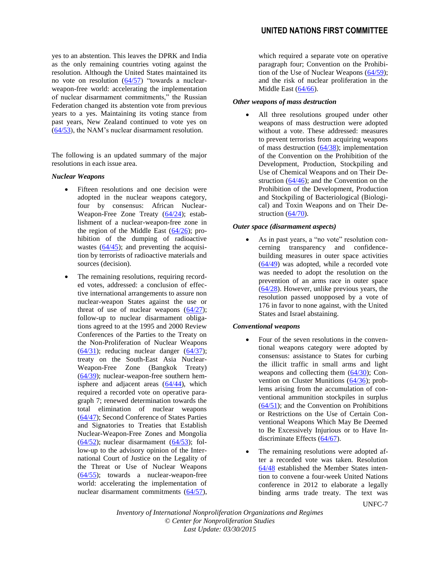yes to an abstention. This leaves the DPRK and India as the only remaining countries voting against the resolution. Although the United States maintained its no vote on resolution  $(64/57)$  "towards a nuclearweapon-free world: accelerating the implementation of nuclear disarmament commitments," the Russian Federation changed its abstention vote from previous years to a yes. Maintaining its voting stance from past years, New Zealand continued to vote yes on [\(64/53\)](http://www.un.org/ga/64/resolutions.shtml), the NAM's nuclear disarmament resolution.

The following is an updated summary of the major resolutions in each issue area.

#### *Nuclear Weapons*

- Fifteen resolutions and one decision were adopted in the nuclear weapons category, four by consensus: African Nuclear-Weapon-Free Zone Treaty [\(64/24\)](http://www.un.org/ga/64/resolutions.shtml); establishment of a nuclear-weapon-free zone in the region of the Middle East  $(64/26)$ ; prohibition of the dumping of radioactive wastes  $(64/45)$ ; and preventing the acquisition by terrorists of radioactive materials and sources (decision).
- The remaining resolutions, requiring recorded votes, addressed: a conclusion of effective international arrangements to assure non nuclear-weapon States against the use or threat of use of nuclear weapons  $(64/27)$ ; follow-up to nuclear disarmament obligations agreed to at the 1995 and 2000 Review Conferences of the Parties to the Treaty on the Non-Proliferation of Nuclear Weapons  $(64/31)$ ; reducing nuclear danger  $(64/37)$ ; treaty on the South-East Asia Nuclear-Weapon-Free Zone (Bangkok Treaty) [\(64/39\)](http://www.un.org/ga/64/resolutions.shtml); nuclear-weapon-free southern hemisphere and adjacent areas [\(64/44\)](http://www.un.org/ga/64/resolutions.shtml), which required a recorded vote on operative paragraph 7; renewed determination towards the total elimination of nuclear weapons [\(64/47\)](http://www.un.org/ga/64/resolutions.shtml); Second Conference of States Parties and Signatories to Treaties that Establish Nuclear-Weapon-Free Zones and Mongolia  $(64/52)$ ; nuclear disarmament  $(64/53)$ ; follow-up to the advisory opinion of the International Court of Justice on the Legality of the Threat or Use of Nuclear Weapons [\(64/55\)](http://www.un.org/ga/64/resolutions.shtml); towards a nuclear-weapon-free world: accelerating the implementation of nuclear disarmament commitments [\(64/57\)](http://www.un.org/ga/64/resolutions.shtml),

which required a separate vote on operative paragraph four; Convention on the Prohibition of the Use of Nuclear Weapons [\(64/59\)](http://www.un.org/ga/64/resolutions.shtml); and the risk of nuclear proliferation in the Middle East [\(64/66\)](http://www.un.org/ga/64/resolutions.shtml).

#### *Other weapons of mass destruction*

 All three resolutions grouped under other weapons of mass destruction were adopted without a vote. These addressed: measures to prevent terrorists from acquiring weapons of mass destruction [\(64/38\)](http://www.un.org/ga/64/resolutions.shtml); implementation of the Convention on the Prohibition of the Development, Production, Stockpiling and Use of Chemical Weapons and on Their Destruction [\(64/46\)](http://www.un.org/ga/64/resolutions.shtml); and the Convention on the Prohibition of the Development, Production and Stockpiling of Bacteriological (Biological) and Toxin Weapons and on Their De-struction [\(64/70\)](http://www.un.org/ga/64/resolutions.shtml).

#### *Outer space (disarmament aspects)*

 As in past years, a "no vote" resolution concerning transparency and confidencebuilding measures in outer space activities [\(64/49\)](http://www.un.org/ga/64/resolutions.shtml) was adopted, while a recorded vote was needed to adopt the resolution on the prevention of an arms race in outer space [\(64/28\)](http://www.un.org/ga/64/resolutions.shtml). However, unlike previous years, the resolution passed unopposed by a vote of 176 in favor to none against, with the United States and Israel abstaining.

#### *Conventional weapons*

- Four of the seven resolutions in the conventional weapons category were adopted by consensus: assistance to States for curbing the illicit traffic in small arms and light weapons and collecting them [\(64/30\)](http://www.un.org/ga/64/resolutions.shtml); Convention on Cluster Munitions [\(64/36\)](http://www.un.org/ga/64/resolutions.shtml); problems arising from the accumulation of conventional ammunition stockpiles in surplus [\(64/51\)](http://www.un.org/ga/64/resolutions.shtml); and the Convention on Prohibitions or Restrictions on the Use of Certain Conventional Weapons Which May Be Deemed to Be Excessively Injurious or to Have Indiscriminate Effects [\(64/67\)](http://www.un.org/ga/64/resolutions.shtml).
- The remaining resolutions were adopted after a recorded vote was taken. Resolution [64/48](http://www.un.org/ga/64/resolutions.shtml) established the Member States intention to convene a four-week United Nations conference in 2012 to elaborate a legally binding arms trade treaty. The text was

UNFC-7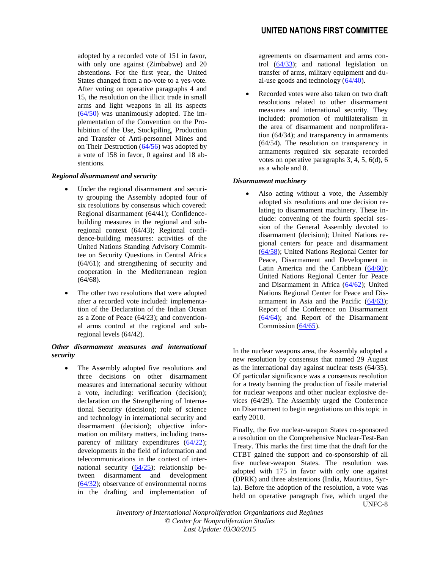adopted by a recorded vote of 151 in favor, with only one against (Zimbabwe) and 20 abstentions. For the first year, the United States changed from a no-vote to a yes-vote. After voting on operative paragraphs 4 and 15, the resolution on the illicit trade in small arms and light weapons in all its aspects  $(64/50)$  was unanimously adopted. The implementation of the Convention on the Prohibition of the Use, Stockpiling, Production and Transfer of Anti-personnel Mines and on Their Destruction [\(64/56\)](http://www.un.org/ga/64/resolutions.shtml) was adopted by a vote of 158 in favor, 0 against and 18 abstentions.

#### *Regional disarmament and security*

- Under the regional disarmament and security grouping the Assembly adopted four of six resolutions by consensus which covered: Regional disarmament (64/41); Confidencebuilding measures in the regional and subregional context (64/43); Regional confidence-building measures: activities of the United Nations Standing Advisory Committee on Security Questions in Central Africa (64/61); and strengthening of security and cooperation in the Mediterranean region (64/68).
- The other two resolutions that were adopted after a recorded vote included: implementation of the Declaration of the Indian Ocean as a Zone of Peace (64/23); and conventional arms control at the regional and subregional levels (64/42).

# *Other disarmament measures and international security*

 The Assembly adopted five resolutions and three decisions on other disarmament measures and international security without a vote, including: verification (decision); declaration on the Strengthening of International Security (decision); role of science and technology in international security and disarmament (decision); objective information on military matters, including transparency of military expenditures  $(64/22)$ ; developments in the field of information and telecommunications in the context of international security  $(64/25)$ ; relationship between disarmament and development [\(64/32\)](http://www.un.org/ga/64/resolutions.shtml); observance of environmental norms in the drafting and implementation of agreements on disarmament and arms control  $(64/33)$ ; and national legislation on transfer of arms, military equipment and dual-use goods and technology [\(64/40\)](http://www.un.org/ga/64/resolutions.shtml).

 Recorded votes were also taken on two draft resolutions related to other disarmament measures and international security. They included: promotion of multilateralism in the area of disarmament and nonproliferation (64/34); and transparency in armaments (64/54). The resolution on transparency in armaments required six separate recorded votes on operative paragraphs 3, 4, 5, 6(d), 6 as a whole and 8.

#### *Disarmament machinery*

• Also acting without a vote, the Assembly adopted six resolutions and one decision relating to disarmament machinery. These include: convening of the fourth special session of the General Assembly devoted to disarmament (decision); United Nations regional centers for peace and disarmament [\(64/58\)](http://www.un.org/ga/64/resolutions.shtml); United Nations Regional Center for Peace, Disarmament and Development in Latin America and the Caribbean [\(64/60\)](http://www.un.org/ga/64/resolutions.shtml); United Nations Regional Center for Peace and Disarmament in Africa [\(64/62\)](http://www.un.org/ga/64/resolutions.shtml); United Nations Regional Center for Peace and Disarmament in Asia and the Pacific [\(64/63\)](http://www.un.org/ga/64/resolutions.shtml); Report of the Conference on Disarmament [\(64/64\)](http://www.un.org/ga/64/resolutions.shtml); and Report of the Disarmament Commission [\(64/65\)](http://www.un.org/ga/64/resolutions.shtml).

In the nuclear weapons area, the Assembly adopted a new resolution by consensus that named 29 August as the international day against nuclear tests (64/35). Of particular significance was a consensus resolution for a treaty banning the production of fissile material for nuclear weapons and other nuclear explosive devices (64/29). The Assembly urged the Conference on Disarmament to begin negotiations on this topic in early 2010.

UNFC-8 Finally, the five nuclear-weapon States co-sponsored a resolution on the Comprehensive Nuclear-Test-Ban Treaty. This marks the first time that the draft for the CTBT gained the support and co-sponsorship of all five nuclear-weapon States. The resolution was adopted with 175 in favor with only one against (DPRK) and three abstentions (India, Mauritius, Syria). Before the adoption of the resolution, a vote was held on operative paragraph five, which urged the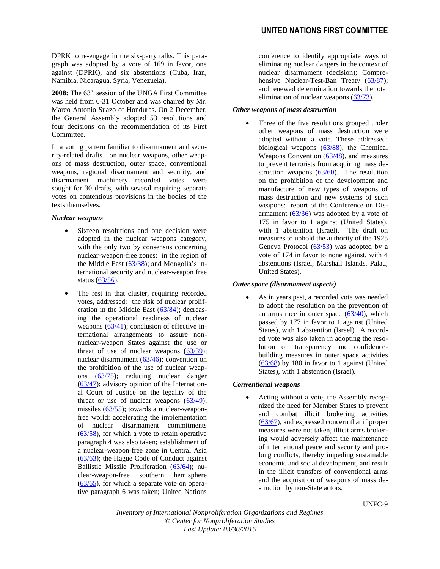DPRK to re-engage in the six-party talks. This paragraph was adopted by a vote of 169 in favor, one against (DPRK), and six abstentions (Cuba, Iran, Namibia, Nicaragua, Syria, Venezuela).

**2008:** The 63rd session of the UNGA First Committee was held from 6-31 October and was chaired by Mr. Marco Antonio Suazo of Honduras. On 2 December, the General Assembly adopted 53 resolutions and four decisions on the recommendation of its First Committee.

In a voting pattern familiar to disarmament and security-related drafts—on nuclear weapons, other weapons of mass destruction, outer space, conventional weapons, regional disarmament and security, and disarmament machinery—recorded votes were sought for 30 drafts, with several requiring separate votes on contentious provisions in the bodies of the texts themselves.

#### *Nuclear weapons*

- Sixteen resolutions and one decision were adopted in the nuclear weapons category, with the only two by consensus concerning nuclear-weapon-free zones: in the region of the Middle East  $(63/38)$ ; and Mongolia's international security and nuclear-weapon free status [\(63/56\)](http://www.un.org/depts/dhl/resguide/r63.shtml).
- The rest in that cluster, requiring recorded votes, addressed: the risk of nuclear proliferation in the Middle East [\(63/84\)](http://www.un.org/depts/dhl/resguide/r63.shtml); decreasing the operational readiness of nuclear weapons  $(63/41)$ ; conclusion of effective international arrangements to assure nonnuclear-weapon States against the use or threat of use of nuclear weapons  $(63/39)$ ; nuclear disarmament  $(63/46)$ ; convention on the prohibition of the use of nuclear weapons [\(63/75\)](http://www.un.org/depts/dhl/resguide/r63.shtml); reducing nuclear danger [\(63/47\)](http://www.un.org/depts/dhl/resguide/r63.shtml); advisory opinion of the International Court of Justice on the legality of the threat or use of nuclear weapons  $(63/49)$ ; missiles [\(63/55\)](http://www.un.org/depts/dhl/resguide/r63.shtml); towards a nuclear-weaponfree world: accelerating the implementation of nuclear disarmament commitments [\(63/58\)](http://www.un.org/depts/dhl/resguide/r63.shtml), for which a vote to retain operative paragraph 4 was also taken; establishment of a nuclear-weapon-free zone in Central Asia [\(63/63\)](http://www.un.org/depts/dhl/resguide/r63.shtml); the Hague Code of Conduct against Ballistic Missile Proliferation [\(63/64\)](http://www.un.org/depts/dhl/resguide/r63.shtml); nuclear-weapon-free southern hemisphere  $(63/65)$ , for which a separate vote on operative paragraph 6 was taken; United Nations

conference to identify appropriate ways of eliminating nuclear dangers in the context of nuclear disarmament (decision); Compre-hensive Nuclear-Test-Ban Treaty [\(63/87\)](http://www.un.org/depts/dhl/resguide/r63.shtml); and renewed determination towards the total elimination of nuclear weapons [\(63/73\)](http://www.un.org/depts/dhl/resguide/r63.shtml).

#### *Other weapons of mass destruction*

 Three of the five resolutions grouped under other weapons of mass destruction were adopted without a vote. These addressed: biological weapons [\(63/88\)](http://www.un.org/depts/dhl/resguide/r63.shtml), the Chemical Weapons Convention [\(63/48\)](http://www.un.org/depts/dhl/resguide/r63.shtml), and measures to prevent terrorists from acquiring mass destruction weapons [\(63/60\)](http://www.un.org/depts/dhl/resguide/r63.shtml). The resolution on the prohibition of the development and manufacture of new types of weapons of mass destruction and new systems of such weapons: report of the Conference on Disarmament  $(63/36)$  was adopted by a vote of 175 in favor to 1 against (United States), with 1 abstention (Israel). The draft on measures to uphold the authority of the 1925 Geneva Protocol [\(63/53\)](http://www.un.org/depts/dhl/resguide/r63.shtml) was adopted by a vote of 174 in favor to none against, with 4 abstentions (Israel, Marshall Islands, Palau, United States).

#### *Outer space (disarmament aspects)*

 As in years past, a recorded vote was needed to adopt the resolution on the prevention of an arms race in outer space  $(63/40)$ , which passed by 177 in favor to 1 against (United States), with 1 abstention (Israel). A recorded vote was also taken in adopting the resolution on transparency and confidencebuilding measures in outer space activities [\(63/68\)](http://www.un.org/depts/dhl/resguide/r63.shtml) by 180 in favor to 1 against (United States), with 1 abstention (Israel).

# *Conventional weapons*

 Acting without a vote, the Assembly recognized the need for Member States to prevent and combat illicit brokering activities [\(63/67\)](http://www.un.org/depts/dhl/resguide/r63.shtml), and expressed concern that if proper measures were not taken, illicit arms brokering would adversely affect the maintenance of international peace and security and prolong conflicts, thereby impeding sustainable economic and social development, and result in the illicit transfers of conventional arms and the acquisition of weapons of mass destruction by non-State actors.

UNFC-9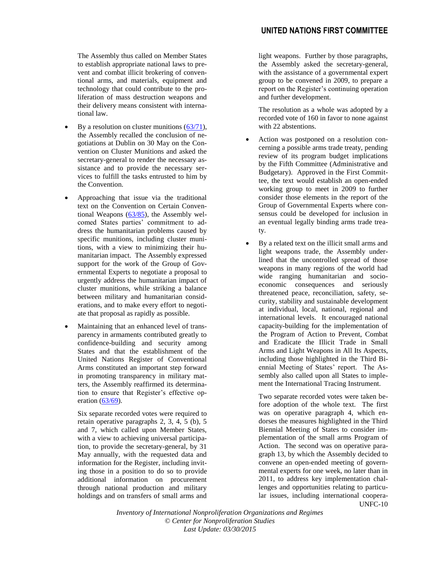The Assembly thus called on Member States to establish appropriate national laws to prevent and combat illicit brokering of conventional arms, and materials, equipment and technology that could contribute to the proliferation of mass destruction weapons and their delivery means consistent with international law.

- By a resolution on cluster munitions [\(63/71\)](http://www.un.org/depts/dhl/resguide/r63.shtml), the Assembly recalled the conclusion of negotiations at Dublin on 30 May on the Convention on Cluster Munitions and asked the secretary-general to render the necessary assistance and to provide the necessary services to fulfill the tasks entrusted to him by the Convention.
- Approaching that issue via the traditional text on the Convention on Certain Conventional Weapons  $(63/85)$ , the Assembly welcomed States parties' commitment to address the humanitarian problems caused by specific munitions, including cluster munitions, with a view to minimizing their humanitarian impact. The Assembly expressed support for the work of the Group of Governmental Experts to negotiate a proposal to urgently address the humanitarian impact of cluster munitions, while striking a balance between military and humanitarian considerations, and to make every effort to negotiate that proposal as rapidly as possible.
- Maintaining that an enhanced level of transparency in armaments contributed greatly to confidence-building and security among States and that the establishment of the United Nations Register of Conventional Arms constituted an important step forward in promoting transparency in military matters, the Assembly reaffirmed its determination to ensure that Register's effective op-eration [\(63/69\)](http://www.un.org/depts/dhl/resguide/r63.shtml).

Six separate recorded votes were required to retain operative paragraphs 2, 3, 4, 5 (b), 5 and 7, which called upon Member States, with a view to achieving universal participation, to provide the secretary-general, by 31 May annually, with the requested data and information for the Register, including inviting those in a position to do so to provide additional information on procurement through national production and military holdings and on transfers of small arms and light weapons. Further by those paragraphs, the Assembly asked the secretary-general, with the assistance of a governmental expert group to be convened in 2009, to prepare a report on the Register's continuing operation and further development.

The resolution as a whole was adopted by a recorded vote of 160 in favor to none against with 22 abstentions.

- Action was postponed on a resolution concerning a possible arms trade treaty, pending review of its program budget implications by the Fifth Committee (Administrative and Budgetary). Approved in the First Committee, the text would establish an open-ended working group to meet in 2009 to further consider those elements in the report of the Group of Governmental Experts where consensus could be developed for inclusion in an eventual legally binding arms trade treaty.
- By a related text on the illicit small arms and light weapons trade, the Assembly underlined that the uncontrolled spread of those weapons in many regions of the world had wide ranging humanitarian and socioeconomic consequences and seriously threatened peace, reconciliation, safety, security, stability and sustainable development at individual, local, national, regional and international levels. It encouraged national capacity-building for the implementation of the Program of Action to Prevent, Combat and Eradicate the Illicit Trade in Small Arms and Light Weapons in All Its Aspects, including those highlighted in the Third Biennial Meeting of States' report. The Assembly also called upon all States to implement the International Tracing Instrument.

UNFC-10 Two separate recorded votes were taken before adoption of the whole text. The first was on operative paragraph 4, which endorses the measures highlighted in the Third Biennial Meeting of States to consider implementation of the small arms Program of Action. The second was on operative paragraph 13, by which the Assembly decided to convene an open-ended meeting of governmental experts for one week, no later than in 2011, to address key implementation challenges and opportunities relating to particular issues, including international coopera-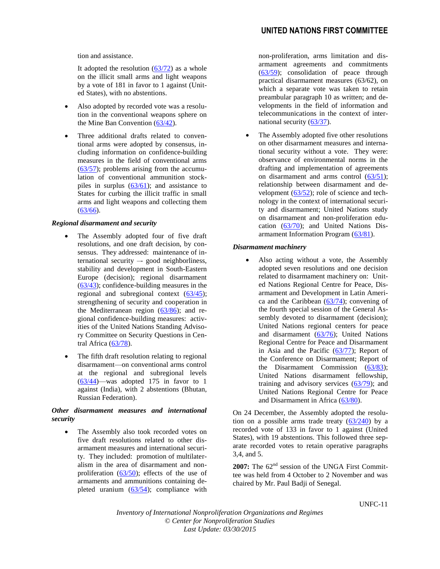tion and assistance.

It adopted the resolution  $(63/72)$  as a whole on the illicit small arms and light weapons by a vote of 181 in favor to 1 against (United States), with no abstentions.

- Also adopted by recorded vote was a resolution in the conventional weapons sphere on the Mine Ban Convention [\(63/42\)](http://www.un.org/depts/dhl/resguide/r63.shtml).
- Three additional drafts related to conventional arms were adopted by consensus, including information on confidence-building measures in the field of conventional arms  $(63/57)$ ; problems arising from the accumulation of conventional ammunition stockpiles in surplus  $(63/61)$ ; and assistance to States for curbing the illicit traffic in small arms and light weapons and collecting them  $(63/66).$  $(63/66).$

# *Regional disarmament and security*

- The Assembly adopted four of five draft resolutions, and one draft decision, by consensus. They addressed: maintenance of international security –- good neighborliness, stability and development in South-Eastern Europe (decision); regional disarmament [\(63/43\)](http://www.un.org/depts/dhl/resguide/r63.shtml); confidence-building measures in the regional and subregional context [\(63/45\)](http://www.un.org/depts/dhl/resguide/r63.shtml); strengthening of security and cooperation in the Mediterranean region [\(63/86\)](http://www.un.org/depts/dhl/resguide/r63.shtml); and regional confidence-building measures: activities of the United Nations Standing Advisory Committee on Security Questions in Central Africa [\(63/78\)](http://www.un.org/depts/dhl/resguide/r63.shtml).
- The fifth draft resolution relating to regional disarmament—on conventional arms control at the regional and subregional levels [\(63/44\)](http://www.un.org/depts/dhl/resguide/r63.shtml)—was adopted 175 in favor to 1 against (India), with 2 abstentions (Bhutan, Russian Federation).

# *Other disarmament measures and international security*

 The Assembly also took recorded votes on five draft resolutions related to other disarmament measures and international security. They included: promotion of multilateralism in the area of disarmament and nonproliferation  $(63/50)$ ; effects of the use of armaments and ammunitions containing depleted uranium  $(63/54)$ ; compliance with non-proliferation, arms limitation and disarmament agreements and commitments [\(63/59\)](http://www.un.org/depts/dhl/resguide/r63.shtml); consolidation of peace through practical disarmament measures (63/62), on which a separate vote was taken to retain preambular paragraph 10 as written; and developments in the field of information and telecommunications in the context of international security [\(63/37\)](http://www.un.org/depts/dhl/resguide/r63.shtml).

 The Assembly adopted five other resolutions on other disarmament measures and international security without a vote. They were: observance of environmental norms in the drafting and implementation of agreements on disarmament and arms control [\(63/51\)](http://www.un.org/depts/dhl/resguide/r63.shtml); relationship between disarmament and development  $(63/52)$ ; role of science and technology in the context of international security and disarmament; United Nations study on disarmament and non-proliferation education [\(63/70\)](http://www.un.org/depts/dhl/resguide/r63.shtml); and United Nations Disarmament Information Program [\(63/81\)](http://www.un.org/depts/dhl/resguide/r63.shtml).

# *Disarmament machinery*

 Also acting without a vote, the Assembly adopted seven resolutions and one decision related to disarmament machinery on: United Nations Regional Centre for Peace, Disarmament and Development in Latin America and the Caribbean [\(63/74\)](http://www.un.org/depts/dhl/resguide/r63.shtml); convening of the fourth special session of the General Assembly devoted to disarmament (decision); United Nations regional centers for peace and disarmament [\(63/76\)](http://www.un.org/depts/dhl/resguide/r63.shtml); United Nations Regional Centre for Peace and Disarmament in Asia and the Pacific [\(63/77\)](http://www.un.org/depts/dhl/resguide/r63.shtml); Report of the Conference on Disarmament; Report of the Disarmament Commission [\(63/83\)](http://www.un.org/depts/dhl/resguide/r63.shtml); United Nations disarmament fellowship, training and advisory services  $(63/79)$ ; and United Nations Regional Centre for Peace and Disarmament in Africa [\(63/80\)](http://www.un.org/depts/dhl/resguide/r63.shtml).

On 24 December, the Assembly adopted the resolution on a possible arms trade treaty  $(63/240)$  by a recorded vote of 133 in favor to 1 against (United States), with 19 abstentions. This followed three separate recorded votes to retain operative paragraphs 3,4, and 5.

2007: The 62<sup>nd</sup> session of the UNGA First Committee was held from 4 October to 2 November and was chaired by Mr. Paul Badji of Senegal.

UNFC-11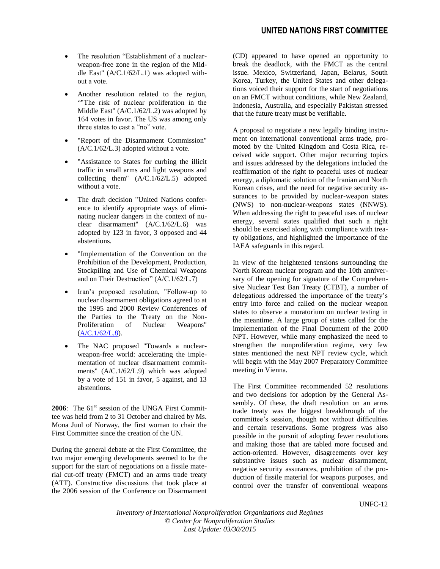- The resolution "Establishment of a nuclearweapon-free zone in the region of the Middle East" (A/C.1/62/L.1) was adopted without a vote.
- Another resolution related to the region, ""The risk of nuclear proliferation in the Middle East" (A/C.1/62/L.2) was adopted by 164 votes in favor. The US was among only three states to cast a "no" vote.
- "Report of the Disarmament Commission"  $(A/C.1/62/L.3)$  adopted without a vote.
- "Assistance to States for curbing the illicit traffic in small arms and light weapons and collecting them" (A/C.1/62/L.5) adopted without a vote.
- The draft decision "United Nations conference to identify appropriate ways of eliminating nuclear dangers in the context of nuclear disarmament" (A/C.1/62/L.6) was adopted by 123 in favor, 3 opposed and 44 abstentions.
- "Implementation of the Convention on the Prohibition of the Development, Production, Stockpiling and Use of Chemical Weapons and on Their Destruction" (A/C.1/62/L.7)
- Iran's proposed resolution, "Follow-up to nuclear disarmament obligations agreed to at the 1995 and 2000 Review Conferences of the Parties to the Treaty on the Non-<br>Proliferation of Nuclear Weapons" Proliferation of Nuclear Weapons"  $(A/C.1/62/L.8).$  $(A/C.1/62/L.8).$
- The NAC proposed "Towards a nuclearweapon-free world: accelerating the implementation of nuclear disarmament commitments" [\(A/C.1/62/L.9\)](http://www.reachingcriticalwill.org/political/1com/1com07/res/L9.pdf) which was adopted by a vote of 151 in favor, 5 against, and 13 abstentions.

**2006**: The  $61<sup>st</sup>$  session of the UNGA First Committee was held from 2 to 31 October and chaired by Ms. Mona Juul of Norway, the first woman to chair the First Committee since the creation of the UN.

During the general debate at the First Committee, the two major emerging developments seemed to be the support for the start of negotiations on a fissile material cut-off treaty (FMCT) and an arms trade treaty (ATT). Constructive discussions that took place at the 2006 session of the Conference on Disarmament

(CD) appeared to have opened an opportunity to break the deadlock, with the FMCT as the central issue. Mexico, Switzerland, Japan, Belarus, South Korea, Turkey, the United States and other delegations voiced their support for the start of negotiations on an FMCT without conditions, while New Zealand, Indonesia, Australia, and especially Pakistan stressed that the future treaty must be verifiable.

A proposal to negotiate a new legally binding instrument on international conventional arms trade, promoted by the United Kingdom and Costa Rica, received wide support. Other major recurring topics and issues addressed by the delegations included the reaffirmation of the right to peaceful uses of nuclear energy, a diplomatic solution of the Iranian and North Korean crises, and the need for negative security assurances to be provided by nuclear-weapon states (NWS) to non-nuclear-weapons states (NNWS). When addressing the right to peaceful uses of nuclear energy, several states qualified that such a right should be exercised along with compliance with treaty obligations, and highlighted the importance of the IAEA safeguards in this regard.

In view of the heightened tensions surrounding the North Korean nuclear program and the 10th anniversary of the opening for signature of the Comprehensive Nuclear Test Ban Treaty (CTBT), a number of delegations addressed the importance of the treaty's entry into force and called on the nuclear weapon states to observe a moratorium on nuclear testing in the meantime. A large group of states called for the implementation of the Final Document of the 2000 NPT. However, while many emphasized the need to strengthen the nonproliferation regime, very few states mentioned the next NPT review cycle, which will begin with the May 2007 Preparatory Committee meeting in Vienna.

The First Committee recommended 52 resolutions and two decisions for adoption by the General Assembly. Of these, the draft resolution on an arms trade treaty was the biggest breakthrough of the committee's session, though not without difficulties and certain reservations. Some progress was also possible in the pursuit of adopting fewer resolutions and making those that are tabled more focused and action-oriented. However, disagreements over key substantive issues such as nuclear disarmament, negative security assurances, prohibition of the production of fissile material for weapons purposes, and control over the transfer of conventional weapons

UNFC-12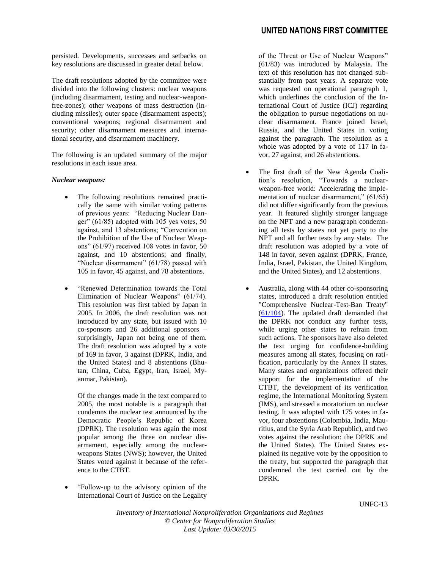persisted. Developments, successes and setbacks on key resolutions are discussed in greater detail below.

The draft resolutions adopted by the committee were divided into the following clusters: nuclear weapons (including disarmament, testing and nuclear-weaponfree-zones); other weapons of mass destruction (including missiles); outer space (disarmament aspects); conventional weapons; regional disarmament and security; other disarmament measures and international security, and disarmament machinery.

The following is an updated summary of the major resolutions in each issue area.

#### *Nuclear weapons:*

- The following resolutions remained practically the same with similar voting patterns of previous years: "Reducing Nuclear Danger"  $(61/85)$  adopted with 105 yes votes, 50 against, and 13 abstentions; "Convention on the Prohibition of the Use of Nuclear Weapons" (61/97) received 108 votes in favor, 50 against, and 10 abstentions; and finally, "Nuclear disarmament" (61/78) passed with 105 in favor, 45 against, and 78 abstentions.
- "Renewed Determination towards the Total Elimination of Nuclear Weapons" (61/74). This resolution was first tabled by Japan in 2005. In 2006, the draft resolution was not introduced by any state, but issued with 10 co-sponsors and 26 additional sponsors – surprisingly, Japan not being one of them. The draft resolution was adopted by a vote of 169 in favor, 3 against (DPRK, India, and the United States) and 8 abstentions (Bhutan, China, Cuba, Egypt, Iran, Israel, Myanmar, Pakistan).

Of the changes made in the text compared to 2005, the most notable is a paragraph that condemns the nuclear test announced by the Democratic People's Republic of Korea (DPRK). The resolution was again the most popular among the three on nuclear disarmament, especially among the nuclearweapons States (NWS); however, the United States voted against it because of the reference to the CTBT.

 "Follow-up to the advisory opinion of the International Court of Justice on the Legality of the Threat or Use of Nuclear Weapons" (61/83) was introduced by Malaysia. The text of this resolution has not changed substantially from past years. A separate vote was requested on operational paragraph 1, which underlines the conclusion of the International Court of Justice (ICJ) regarding the obligation to pursue negotiations on nuclear disarmament. France joined Israel, Russia, and the United States in voting against the paragraph. The resolution as a whole was adopted by a vote of 117 in favor, 27 against, and 26 abstentions.

- The first draft of the New Agenda Coalition's resolution, "Towards a nuclearweapon-free world: Accelerating the implementation of nuclear disarmament," (61/65) did not differ significantly from the previous year. It featured slightly stronger language on the NPT and a new paragraph condemning all tests by states not yet party to the NPT and all further tests by any state. The draft resolution was adopted by a vote of 148 in favor, seven against (DPRK, France, India, Israel, Pakistan, the United Kingdom, and the United States), and 12 abstentions.
- Australia, along with 44 other co-sponsoring states, introduced a draft resolution entitled "Comprehensive Nuclear-Test-Ban Treaty" [\(61/104\)](http://disarmament.un.org/vote.nsf/5063335733dce716852570c200516189/532c99bc51950d4385257205006c8845/$FILE/A%20RES%2061%20104.pdf). The updated draft demanded that the DPRK not conduct any further tests, while urging other states to refrain from such actions. The sponsors have also deleted the text urging for confidence-building measures among all states, focusing on ratification, particularly by the Annex II states. Many states and organizations offered their support for the implementation of the CTBT, the development of its verification regime, the International Monitoring System (IMS), and stressed a moratorium on nuclear testing. It was adopted with 175 votes in favor, four abstentions (Colombia, India, Mauritius, and the Syria Arab Republic), and two votes against the resolution: the DPRK and the United States). The United States explained its negative vote by the opposition to the treaty, but supported the paragraph that condemned the test carried out by the DPRK.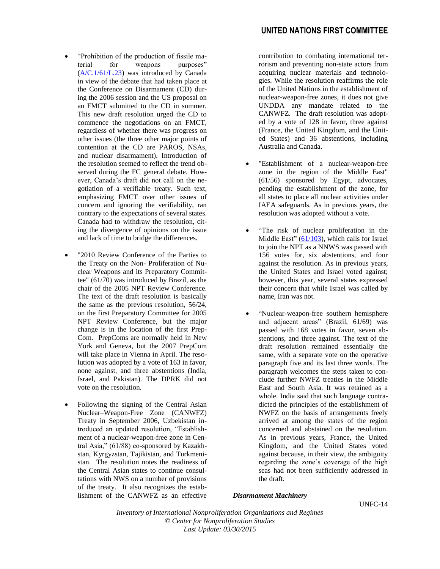- "Prohibition of the production of fissile material for weapons purposes"  $(A/C.1/61/L.23)$  was introduced by Canada in view of the debate that had taken place at the Conference on Disarmament (CD) during the 2006 session and the US proposal on an FMCT submitted to the CD in summer. This new draft resolution urged the CD to commence the negotiations on an FMCT, regardless of whether there was progress on other issues (the three other major points of contention at the CD are PAROS, NSAs, and nuclear disarmament). Introduction of the resolution seemed to reflect the trend observed during the FC general debate. However, Canada's draft did not call on the negotiation of a verifiable treaty. Such text, emphasizing FMCT over other issues of concern and ignoring the verifiability, ran contrary to the expectations of several states. Canada had to withdraw the resolution, citing the divergence of opinions on the issue and lack of time to bridge the differences.
- "2010 Review Conference of the Parties to the Treaty on the Non- Proliferation of Nuclear Weapons and its Preparatory Committee" (61/70) was introduced by Brazil, as the chair of the 2005 NPT Review Conference. The text of the draft resolution is basically the same as the previous resolution, 56/24, on the first Preparatory Committee for 2005 NPT Review Conference, but the major change is in the location of the first Prep-Com. PrepComs are normally held in New York and Geneva, but the 2007 PrepCom will take place in Vienna in April. The resolution was adopted by a vote of 163 in favor, none against, and three abstentions (India, Israel, and Pakistan). The DPRK did not vote on the resolution.
- Following the signing of the Central Asian Nuclear–Weapon-Free Zone (CANWFZ) Treaty in September 2006, Uzbekistan introduced an updated resolution, "Establishment of a nuclear-weapon-free zone in Central Asia," (61/88) co-sponsored by Kazakhstan, Kyrgyzstan, Tajikistan, and Turkmenistan. The resolution notes the readiness of the Central Asian states to continue consultations with NWS on a number of provisions of the treaty. It also recognizes the establishment of the CANWFZ as an effective

contribution to combating international terrorism and preventing non-state actors from acquiring nuclear materials and technologies. While the resolution reaffirms the role of the United Nations in the establishment of nuclear-weapon-free zones, it does not give UNDDA any mandate related to the CANWFZ. The draft resolution was adopted by a vote of 128 in favor, three against (France, the United Kingdom, and the United States) and 36 abstentions, including Australia and Canada.

- "Establishment of a nuclear-weapon-free zone in the region of the Middle East" (61/56) sponsored by Egypt, advocates, pending the establishment of the zone, for all states to place all nuclear activities under IAEA safeguards. As in previous years, the resolution was adopted without a vote.
- "The risk of nuclear proliferation in the Middle East"  $(61/103)$ , which calls for Israel to join the NPT as a NNWS was passed with 156 votes for, six abstentions, and four against the resolution. As in previous years, the United States and Israel voted against; however, this year, several states expressed their concern that while Israel was called by name, Iran was not.
- "Nuclear-weapon-free southern hemisphere and adjacent areas" (Brazil, 61/69) was passed with 168 votes in favor, seven abstentions, and three against. The text of the draft resolution remained essentially the same, with a separate vote on the operative paragraph five and its last three words. The paragraph welcomes the steps taken to conclude further NWFZ treaties in the Middle East and South Asia. It was retained as a whole. India said that such language contradicted the principles of the establishment of NWFZ on the basis of arrangements freely arrived at among the states of the region concerned and abstained on the resolution. As in previous years, France, the United Kingdom, and the United States voted against because, in their view, the ambiguity regarding the zone's coverage of the high seas had not been sufficiently addressed in the draft.

# *Disarmament Machinery*

UNFC-14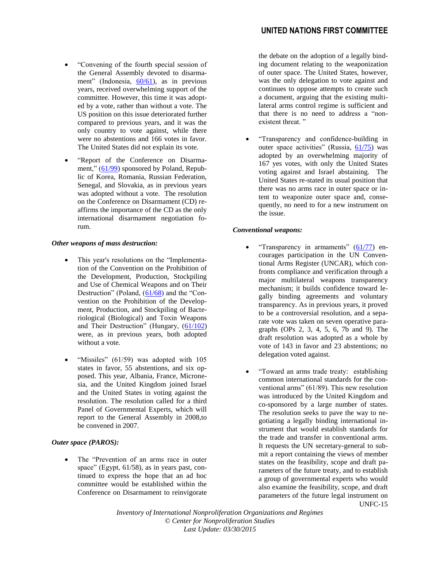- "Convening of the fourth special session of the General Assembly devoted to disarmament" (Indonesia, [60/61\)](http://www.reachingcriticalwill.org/political/1com/1com06/res/L.4.pdf), as in previous years, received overwhelming support of the committee. However, this time it was adopted by a vote, rather than without a vote. The US position on this issue deteriorated further compared to previous years, and it was the only country to vote against, while there were no abstentions and 166 votes in favor. The United States did not explain its vote.
- "Report of the Conference on Disarmament," [\(61/99\)](http://www.reachingcriticalwill.org/political/1com/1com06/res/L.29.pdf) sponsored by Poland, Republic of Korea, Romania, Russian Federation, Senegal, and Slovakia, as in previous years was adopted without a vote. The resolution on the Conference on Disarmament (CD) reaffirms the importance of the CD as the only international disarmament negotiation forum.

#### *Other weapons of mass destruction:*

- This year's resolutions on the "Implementation of the Convention on the Prohibition of the Development, Production, Stockpiling and Use of Chemical Weapons and on Their Destruction" (Poland,  $(61/68)$  and the "Convention on the Prohibition of the Development, Production, and Stockpiling of Bacteriological (Biological) and Toxin Weapons and Their Destruction" (Hungary,  $(61/102)$ were, as in previous years, both adopted without a vote.
- "Missiles" (61/59) was adopted with 105 states in favor, 55 abstentions, and six opposed. This year, Albania, France, Micronesia, and the United Kingdom joined Israel and the United States in voting against the resolution. The resolution called for a third Panel of Governmental Experts, which will report to the General Assembly in 2008,to be convened in 2007.

# *Outer space (PAROS):*

 The "Prevention of an arms race in outer space" (Egypt, 61/58), as in years past, continued to express the hope that an ad hoc committee would be established within the Conference on Disarmament to reinvigorate

the debate on the adoption of a legally binding document relating to the weaponization of outer space. The United States, however, was the only delegation to vote against and continues to oppose attempts to create such a document, arguing that the existing multilateral arms control regime is sufficient and that there is no need to address a "nonexistent threat."

 "Transparency and confidence-building in outer space activities" (Russia, [61/75\)](http://www.reachingcriticalwill.org/political/1com/1com06/res/L.36.pdf) was adopted by an overwhelming majority of 167 yes votes, with only the United States voting against and Israel abstaining. The United States re-stated its usual position that there was no arms race in outer space or intent to weaponize outer space and, consequently, no need to for a new instrument on the issue.

#### *Conventional weapons:*

- "Transparency in armaments"  $(61/77)$  encourages participation in the UN Conventional Arms Register (UNCAR), which confronts compliance and verification through a major multilateral weapons transparency mechanism; it builds confidence toward legally binding agreements and voluntary transparency. As in previous years, it proved to be a controversial resolution, and a separate vote was taken on seven operative paragraphs (OPs 2, 3, 4, 5, 6, 7b and 9). The draft resolution was adopted as a whole by vote of 143 in favor and 23 abstentions; no delegation voted against.
- UNFC-15 "Toward an arms trade treaty: establishing common international standards for the conventional arms" (61/89). This new resolution was introduced by the United Kingdom and co-sponsored by a large number of states. The resolution seeks to pave the way to negotiating a legally binding international instrument that would establish standards for the trade and transfer in conventional arms. It requests the UN secretary-general to submit a report containing the views of member states on the feasibility, scope and draft parameters of the future treaty, and to establish a group of governmental experts who would also examine the feasibility, scope, and draft parameters of the future legal instrument on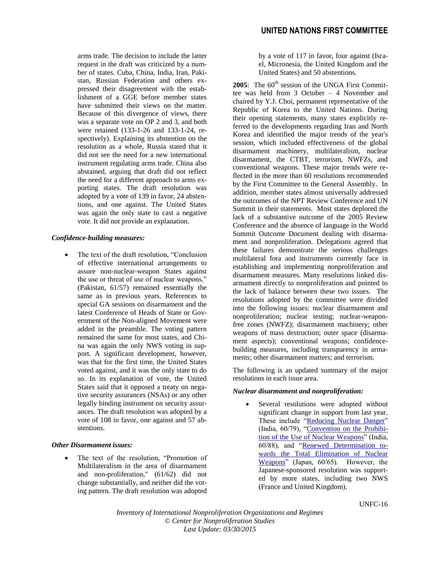arms trade. The decision to include the latter request in the draft was criticized by a number of states. Cuba, China, India, Iran, Pakistan, Russian Federation and others expressed their disagreement with the establishment of a GGE before member states have submitted their views on the matter. Because of this divergence of views, there was a separate vote on OP 2 and 3, and both were retained (133-1-26 and 133-1-24, respectively). Explaining its abstention on the resolution as a whole, Russia stated that it did not see the need for a new international instrument regulating arms trade. China also abstained, arguing that draft did not reflect the need for a different approach to arms exporting states. The draft resolution was adopted by a vote of 139 in favor, 24 abstentions, and one against. The United States was again the only state to cast a negative vote. It did not provide an explanation.

#### *Confidence-building measures:*

 The text of the draft resolution, "Conclusion of effective international arrangements to assure non-nuclear-weapon States against the use or threat of use of nuclear weapons," (Pakistan, 61/57) remained essentially the same as in previous years. References to special GA sessions on disarmament and the latest Conference of Heads of State or Government of the Non-aligned Movement were added in the preamble. The voting pattern remained the same for most states, and China was again the only NWS voting in support. A significant development, however, was that for the first time, the United States voted against, and it was the only state to do so. In its explanation of vote, the United States said that it opposed a treaty on negative security assurances (NSAs) or any other legally binding instrument on security assurances. The draft resolution was adopted by a vote of 108 in favor, one against and 57 abstentions.

#### *Other Disarmament issues:*

 The text of the resolution, "Promotion of Multilateralism in the area of disarmament and non-proliferation," (61/62) did not change substantially, and neither did the voting pattern. The draft resolution was adopted

by a vote of 117 in favor, four against (Israel, Micronesia, the United Kingdom and the United States) and 50 abstentions.

**2005**: The  $60<sup>th</sup>$  session of the UNGA First Committee was held from 3 October – 4 November and chaired by Y.J. Choi, permanent representative of the Republic of Korea to the United Nations. During their opening statements, many states explicitly referred to the developments regarding Iran and North Korea and identified the major trends of the year's session, which included effectiveness of the global disarmament machinery, multilateralism, nuclear disarmament, the CTBT, terrorism, NWFZs, and conventional weapons. These major trends were reflected in the more than 60 resolutions recommended by the First Committee to the General Assembly. In addition, member states almost universally addressed the outcomes of the NPT Review Conference and UN Summit in their statements. Most states deplored the lack of a substantive outcome of the 2005 Review Conference and the absence of language in the World Summit Outcome Document dealing with disarmament and nonproliferation. Delegations agreed that these failures demonstrate the serious challenges multilateral fora and instruments currently face in establishing and implementing nonproliferation and disarmament measures. Many resolutions linked disarmament directly to nonproliferation and pointed to the lack of balance between these two issues. The resolutions adopted by the committee were divided into the following issues: nuclear disarmament and nonproliferation; nuclear testing; nuclear-weaponfree zones (NWFZ); disarmament machinery; other weapons of mass destruction; outer space (disarmament aspects); conventional weapons; confidencebuilding measures, including transparency in armaments; other disarmament matters; and terrorism.

The following is an updated summary of the major resolutions in each issue area.

#### *Nuclear disarmament and nonproliferation:*

 Several resolutions were adopted without significant change in support from last year. These include ["Reducing Nuclear Danger"](http://disarmament2.un.org/vote.nsf/5063335733dce716852570c200516189/18025c82457edffd852570a10056e74d?OpenDocument) (India, 60/79), ["Convention on the Prohibi](http://disarmament2.un.org/vote.nsf/5063335733dce716852570c200516189/dc3fcda9f6ee54ea852570a1005702fe?OpenDocument)[tion of the Use of Nuclear Weapons"](http://disarmament2.un.org/vote.nsf/5063335733dce716852570c200516189/dc3fcda9f6ee54ea852570a1005702fe?OpenDocument) (India, 60/88), and ["Renewed Determination to](http://disarmament2.un.org/vote.nsf/5063335733dce716852570c200516189/f6333bc9c37f5c4f852570a1004a2480?OpenDocument)[wards the Total Elimination of Nuclear](http://disarmament2.un.org/vote.nsf/5063335733dce716852570c200516189/f6333bc9c37f5c4f852570a1004a2480?OpenDocument)  [Weapons"](http://disarmament2.un.org/vote.nsf/5063335733dce716852570c200516189/f6333bc9c37f5c4f852570a1004a2480?OpenDocument) (Japan, 60/65). However, the Japanese-sponsored resolution was supported by more states, including two NWS (France and United Kingdom).

UNFC-16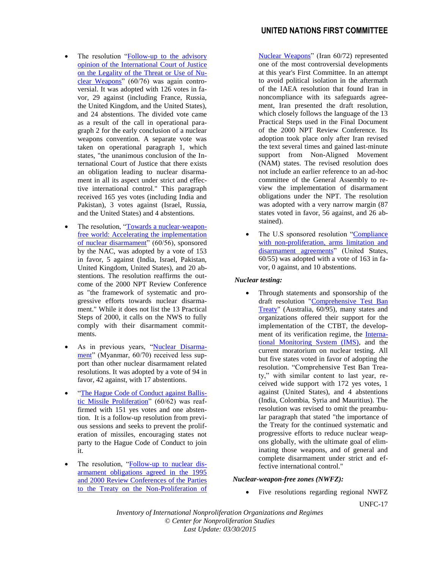# **UNITED NATIONS FIRST COMMITTEE**

- The resolution ["Follow-up to the advisory](http://disarmament2.un.org/vote.nsf/5063335733dce716852570c200516189/64556b8dc2618dc6852570a1004f51bd?OpenDocument)  [opinion of the International Court of Justice](http://disarmament2.un.org/vote.nsf/5063335733dce716852570c200516189/64556b8dc2618dc6852570a1004f51bd?OpenDocument)  [on the Legality of the Threat or Use of Nu](http://disarmament2.un.org/vote.nsf/5063335733dce716852570c200516189/64556b8dc2618dc6852570a1004f51bd?OpenDocument)[clear Weapons"](http://disarmament2.un.org/vote.nsf/5063335733dce716852570c200516189/64556b8dc2618dc6852570a1004f51bd?OpenDocument) (60/76) was again controversial. It was adopted with 126 votes in favor, 29 against (including France, Russia, the United Kingdom, and the United States), and 24 abstentions. The divided vote came as a result of the call in operational paragraph 2 for the early conclusion of a nuclear weapons convention. A separate vote was taken on operational paragraph 1, which states, "the unanimous conclusion of the International Court of Justice that there exists an obligation leading to nuclear disarmament in all its aspect under strict and effective international control." This paragraph received 165 yes votes (including India and Pakistan), 3 votes against (Israel, Russia, and the United States) and 4 abstentions.
- The resolution, ["Towards a nuclear-weapon](http://disarmament2.un.org/vote.nsf/5063335733dce716852570c200516189/3618e990ea43b2ff8525709a0066e188?OpenDocument)[free world: Accelerating the implementation](http://disarmament2.un.org/vote.nsf/5063335733dce716852570c200516189/3618e990ea43b2ff8525709a0066e188?OpenDocument)  [of nuclear disarmament"](http://disarmament2.un.org/vote.nsf/5063335733dce716852570c200516189/3618e990ea43b2ff8525709a0066e188?OpenDocument) (60/56), sponsored by the NAC, was adopted by a vote of 153 in favor, 5 against (India, Israel, Pakistan, United Kingdom, United States), and 20 abstentions. The resolution reaffirms the outcome of the 2000 NPT Review Conference as "the framework of systematic and progressive efforts towards nuclear disarmament." While it does not list the 13 Practical Steps of 2000, it calls on the NWS to fully comply with their disarmament commitments.
- As in previous years, ["Nuclear Disarma](http://disarmament2.un.org/vote.nsf/5063335733dce716852570c200516189/6413388b0b1118a7852570a1004b1453?OpenDocument)[ment"](http://disarmament2.un.org/vote.nsf/5063335733dce716852570c200516189/6413388b0b1118a7852570a1004b1453?OpenDocument) (Myanmar, 60/70) received less support than other nuclear disarmament related resolutions. It was adopted by a vote of 94 in favor, 42 against, with 17 abstentions.
- ["The Hague Code of Conduct against Ballis](http://disarmament2.un.org/vote.nsf/5063335733dce716852570c200516189/b097797f5746cf1c8525709d006f0c88?OpenDocument)[tic Missile Proliferation"](http://disarmament2.un.org/vote.nsf/5063335733dce716852570c200516189/b097797f5746cf1c8525709d006f0c88?OpenDocument) (60/62) was reaffirmed with 151 yes votes and one abstention. It is a follow-up resolution from previous sessions and seeks to prevent the proliferation of missiles, encouraging states not party to the Hague Code of Conduct to join it.
- The resolution, ["Follow-up to nuclear dis](http://disarmament2.un.org/vote.nsf/5063335733dce716852570c200516189/329e4b4039a9a248852570a1004bdb7a?OpenDocument)[armament obligations agreed in the 1995](http://disarmament2.un.org/vote.nsf/5063335733dce716852570c200516189/329e4b4039a9a248852570a1004bdb7a?OpenDocument)  [and 2000 Review Conferences of the Parties](http://disarmament2.un.org/vote.nsf/5063335733dce716852570c200516189/329e4b4039a9a248852570a1004bdb7a?OpenDocument)  [to the Treaty on the Non-Proliferation of](http://disarmament2.un.org/vote.nsf/5063335733dce716852570c200516189/329e4b4039a9a248852570a1004bdb7a?OpenDocument)

[Nuclear Weapons"](http://disarmament2.un.org/vote.nsf/5063335733dce716852570c200516189/329e4b4039a9a248852570a1004bdb7a?OpenDocument) (Iran 60/72) represented one of the most controversial developments at this year's First Committee. In an attempt to avoid political isolation in the aftermath of the IAEA resolution that found Iran in noncompliance with its safeguards agreement, Iran presented the draft resolution, which closely follows the language of the 13 Practical Steps used in the Final Document of the 2000 NPT Review Conference. Its adoption took place only after Iran revised the text several times and gained last-minute support from Non-Aligned Movement (NAM) states. The revised resolution does not include an earlier reference to an ad-hoc committee of the General Assembly to review the implementation of disarmament obligations under the NPT. The resolution was adopted with a very narrow margin (87 states voted in favor, 56 against, and 26 abstained).

 The U.S sponsored resolution ["Compliance](http://disarmament2.un.org/vote.nsf/5063335733dce716852570c200516189/25cdef3389cf93668525709a006b3d4a?OpenDocument)  [with non-proliferation, arms limitation and](http://disarmament2.un.org/vote.nsf/5063335733dce716852570c200516189/25cdef3389cf93668525709a006b3d4a?OpenDocument)  [disarmament agreements"](http://disarmament2.un.org/vote.nsf/5063335733dce716852570c200516189/25cdef3389cf93668525709a006b3d4a?OpenDocument) (United States, 60/55) was adopted with a vote of 163 in favor, 0 against, and 10 abstentions.

# *Nuclear testing:*

 Through statements and sponsorship of the draft resolution ["Comprehensive Test Ban](http://disarmament2.un.org/vote.nsf/5063335733dce716852570c200516189/e534f7b5b7fc699a8525709d00720abd?OpenDocument)  [Treaty"](http://disarmament2.un.org/vote.nsf/5063335733dce716852570c200516189/e534f7b5b7fc699a8525709d00720abd?OpenDocument) (Australia, 60/95), many states and organizations offered their support for the implementation of the CTBT, the development of its verification regime, the [Interna](http://www.seismo.ethz.ch/bsv/ctbto/ims.html)[tional Monitoring System \(IMS\),](http://www.seismo.ethz.ch/bsv/ctbto/ims.html) and the current moratorium on nuclear testing. All but five states voted in favor of adopting the resolution. "Comprehensive Test Ban Treaty," with similar content to last year, received wide support with 172 yes votes, 1 against (United States), and 4 abstentions (India, Colombia, Syria and Mauritius). The resolution was revised to omit the preambular paragraph that stated "the importance of the Treaty for the continued systematic and progressive efforts to reduce nuclear weapons globally, with the ultimate goal of eliminating those weapons, and of general and complete disarmament under strict and effective international control."

#### *Nuclear-weapon-free zones (NWFZ):*

• Five resolutions regarding regional NWFZ

UNFC-17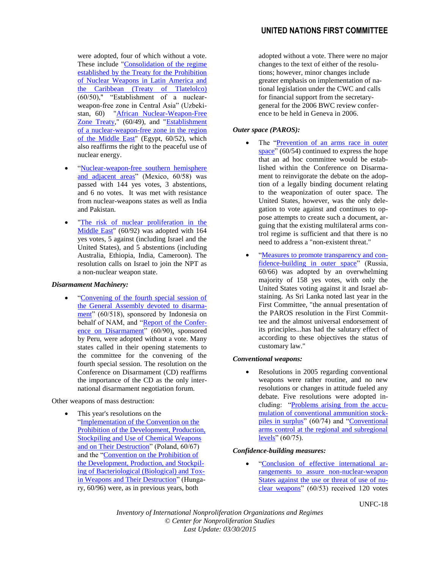were adopted, four of which without a vote. These include ["Consolidation of the regime](http://disarmament2.un.org/vote.nsf/5063335733dce716852570c200516189/e64fa26e887dcd288525709d0071798e?OpenDocument)  [established by the Treaty for the Prohibition](http://disarmament2.un.org/vote.nsf/5063335733dce716852570c200516189/e64fa26e887dcd288525709d0071798e?OpenDocument)  [of Nuclear Weapons in Latin America and](http://disarmament2.un.org/vote.nsf/5063335733dce716852570c200516189/e64fa26e887dcd288525709d0071798e?OpenDocument)  the **Caribbean** (Treaty of Tlatelolco) (60/50)," "Establishment of a nuclearweapon-free zone in Central Asia" (Uzbekistan, 60) ["African Nuclear-Weapon-Free](http://disarmament2.un.org/vote.nsf/5063335733dce716852570c200516189/6cf64f21e44ddc618525709d005406ea?OpenDocument)  [Zone Treaty,](http://disarmament2.un.org/vote.nsf/5063335733dce716852570c200516189/6cf64f21e44ddc618525709d005406ea?OpenDocument)" (60/49), and "Establishment [of a nuclear-weapon-free zone in the region](http://disarmament2.un.org/vote.nsf/5063335733dce716852570c200516189/3a546b0a5ae381c88525709a006bf50b?OpenDocument)  [of the Middle East"](http://disarmament2.un.org/vote.nsf/5063335733dce716852570c200516189/3a546b0a5ae381c88525709a006bf50b?OpenDocument) (Egypt, 60/52), which also reaffirms the right to the peaceful use of nuclear energy.

- ["Nuclear-weapon-free southern hemisphere](http://disarmament2.un.org/vote.nsf/5063335733dce716852570c200516189/0b2b9c2a20b294918525709f0056ead1?OpenDocument)  [and adjacent areas"](http://disarmament2.un.org/vote.nsf/5063335733dce716852570c200516189/0b2b9c2a20b294918525709f0056ead1?OpenDocument) (Mexico, 60/58) was passed with 144 yes votes, 3 abstentions, and 6 no votes. It was met with resistance from nuclear-weapons states as well as India and Pakistan.
- ["The risk of nuclear proliferation in the](http://disarmament2.un.org/vote.nsf/5063335733dce716852570c200516189/c2cbf01d5b7b9dc48525709d00536d60?OpenDocument)  [Middle](http://disarmament2.un.org/vote.nsf/5063335733dce716852570c200516189/c2cbf01d5b7b9dc48525709d00536d60?OpenDocument) East" (60/92) was adopted with 164 yes votes, 5 against (including Israel and the United States), and 5 abstentions (including Australia, Ethiopia, India, Cameroon). The resolution calls on Israel to join the NPT as a non-nuclear weapon state.

#### *Disarmament Machinery:*

 ["Convening of the fourth special session of](http://disarmament2.un.org/vote.nsf/5063335733dce716852570c200516189/02cd365140e939e38525709d00559978?OpenDocument)  [the General Assembly devoted to disarma](http://disarmament2.un.org/vote.nsf/5063335733dce716852570c200516189/02cd365140e939e38525709d00559978?OpenDocument)[ment"](http://disarmament2.un.org/vote.nsf/5063335733dce716852570c200516189/02cd365140e939e38525709d00559978?OpenDocument) (60/518), sponsored by Indonesia on behalf of NAM, and ["Report of the Confer](http://disarmament2.un.org/vote.nsf/5063335733dce716852570c200516189/f753586cb8a2678a8525709d006ee973?OpenDocument)[ence on Disarmament"](http://disarmament2.un.org/vote.nsf/5063335733dce716852570c200516189/f753586cb8a2678a8525709d006ee973?OpenDocument) (60/90), sponsored by Peru, were adopted without a vote. Many states called in their opening statements to the committee for the convening of the fourth special session. The resolution on the Conference on Disarmament (CD) reaffirms the importance of the CD as the only international disarmament negotiation forum.

Other weapons of mass destruction:

 This year's resolutions on the ["Implementation of the Convention on the](http://disarmament2.un.org/vote.nsf/5063335733dce716852570c200516189/31a5a020d5a9f5db852570a1004a8bdd?OpenDocument)  [Prohibition of the Development, Production,](http://disarmament2.un.org/vote.nsf/5063335733dce716852570c200516189/31a5a020d5a9f5db852570a1004a8bdd?OpenDocument)  [Stockpiling and Use of Chemical Weapons](http://disarmament2.un.org/vote.nsf/5063335733dce716852570c200516189/31a5a020d5a9f5db852570a1004a8bdd?OpenDocument)  [and on Their Destruction"](http://disarmament2.un.org/vote.nsf/5063335733dce716852570c200516189/31a5a020d5a9f5db852570a1004a8bdd?OpenDocument) (Poland, 60/67) and the ["Convention on the Prohibition of](http://disarmament2.un.org/vote.nsf/5063335733dce716852570c200516189/027cabb7688c7a69852570a1004ab6e4?OpenDocument)  [the Development, Production, and Stockpil](http://disarmament2.un.org/vote.nsf/5063335733dce716852570c200516189/027cabb7688c7a69852570a1004ab6e4?OpenDocument)[ing of Bacteriological \(Biological\) and Tox](http://disarmament2.un.org/vote.nsf/5063335733dce716852570c200516189/027cabb7688c7a69852570a1004ab6e4?OpenDocument)[in Weapons and Their Destruction"](http://disarmament2.un.org/vote.nsf/5063335733dce716852570c200516189/027cabb7688c7a69852570a1004ab6e4?OpenDocument) (Hungary, 60/96) were, as in previous years, both

adopted without a vote. There were no major changes to the text of either of the resolutions; however, minor changes include greater emphasis on implementation of national legislation under the CWC and calls for financial support from the secretarygeneral for the 2006 BWC review conference to be held in Geneva in 2006.

# *Outer space (PAROS):*

- The ["Prevention of an arms race in outer](http://disarmament2.un.org/vote.nsf/5063335733dce716852570c200516189/9fa2433925d007bd852570a10049fce6?OpenDocument)  [space"](http://disarmament2.un.org/vote.nsf/5063335733dce716852570c200516189/9fa2433925d007bd852570a10049fce6?OpenDocument) (60/54) continued to express the hope that an ad hoc committee would be established within the Conference on Disarmament to reinvigorate the debate on the adoption of a legally binding document relating to the weaponization of outer space. The United States, however, was the only delegation to vote against and continues to oppose attempts to create such a document, arguing that the existing multilateral arms control regime is sufficient and that there is no need to address a "non-existent threat."
- ["Measures to promote transparency and con](http://disarmament2.un.org/vote.nsf/5063335733dce716852570c200516189/9fa2433925d007bd852570a10049fce6?OpenDocument)[fidence-building in outer space"](http://disarmament2.un.org/vote.nsf/5063335733dce716852570c200516189/9fa2433925d007bd852570a10049fce6?OpenDocument) (Russia, 60/66) was adopted by an overwhelming majority of 158 yes votes, with only the United States voting against it and Israel abstaining. As Sri Lanka noted last year in the First Committee, "the annual presentation of the PAROS resolution in the First Committee and the almost universal endorsement of its principles...has had the salutary effect of according to these objectives the status of customary law."

#### *Conventional weapons:*

 Resolutions in 2005 regarding conventional weapons were rather routine, and no new resolutions or changes in attitude fueled any debate. Five resolutions were adopted including: ["Problems arising from the accu](http://disarmament2.un.org/vote.nsf/5063335733dce716852570c200516189/4bb24758f7e306ab852570a1004c32d8?OpenDocument)[mulation of conventional ammunition stock](http://disarmament2.un.org/vote.nsf/5063335733dce716852570c200516189/4bb24758f7e306ab852570a1004c32d8?OpenDocument)[piles in surplus"](http://disarmament2.un.org/vote.nsf/5063335733dce716852570c200516189/4bb24758f7e306ab852570a1004c32d8?OpenDocument) (60/74) and "Conventional [arms control at the regional and subregional](http://disarmament2.un.org/vote.nsf/5063335733dce716852570c200516189/23571a103700cd27852570a1004efac0?OpenDocument)  [levels"](http://disarmament2.un.org/vote.nsf/5063335733dce716852570c200516189/23571a103700cd27852570a1004efac0?OpenDocument) (60/75).

# *Confidence-building measures:*

 ["Conclusion of effective international ar](http://disarmament2.un.org/vote.nsf/5063335733dce716852570c200516189/039b59b5a9af434c852570a1004f2c3e?OpenDocument)[rangements to assure non-nuclear-weapon](http://disarmament2.un.org/vote.nsf/5063335733dce716852570c200516189/039b59b5a9af434c852570a1004f2c3e?OpenDocument)  [States against the use or threat of use of nu](http://disarmament2.un.org/vote.nsf/5063335733dce716852570c200516189/039b59b5a9af434c852570a1004f2c3e?OpenDocument)[clear weapons"](http://disarmament2.un.org/vote.nsf/5063335733dce716852570c200516189/039b59b5a9af434c852570a1004f2c3e?OpenDocument) (60/53) received 120 votes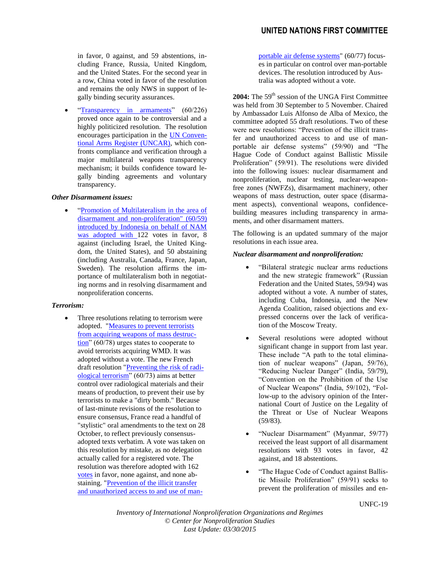# **UNITED NATIONS FIRST COMMITTEE**

in favor, 0 against, and 59 abstentions, including France, Russia, United Kingdom, and the United States. For the second year in a row, China voted in favor of the resolution and remains the only NWS in support of legally binding security assurances.

• ["Transparency in armaments"](http://disarmament2.un.org/vote.nsf/5063335733dce716852570c200516189/72b789d9ff9d7750852570a10056975d?OpenDocument) (60/226) proved once again to be controversial and a highly politicized resolution. The resolution encourages participation in the [UN Conven](http://disarmament.un.org/cab/register.html)[tional Arms Register \(UNCAR\),](http://disarmament.un.org/cab/register.html) which confronts compliance and verification through a major multilateral weapons transparency mechanism; it builds confidence toward legally binding agreements and voluntary transparency.

#### *Other Disarmament issues:*

 ["Promotion of Multilateralism in the area of](http://disarmament2.un.org/vote.nsf/5063335733dce716852570c200516189/cbdccf51f77667bd852570a100490eca?OpenDocument)  [disarmament and non-proliferation"](http://disarmament2.un.org/vote.nsf/5063335733dce716852570c200516189/cbdccf51f77667bd852570a100490eca?OpenDocument) (60/59) introduced by Indonesia on behalf of NAM was adopted with 122 votes in favor, 8 against (including Israel, the United Kingdom, the United States), and 50 abstaining (including Australia, Canada, France, Japan, Sweden). The resolution affirms the importance of multilateralism both in negotiating norms and in resolving disarmament and nonproliferation concerns.

# *Terrorism:*

• Three resolutions relating to terrorism were adopted. ["Measures to prevent terrorists](http://disarmament2.un.org/vote.nsf/5063335733dce716852570c200516189/3727b4bb553012b2852570a10056be07?OpenDocument)  [from acquiring weapons of mass destruc-](http://disarmament2.un.org/vote.nsf/5063335733dce716852570c200516189/3727b4bb553012b2852570a10056be07?OpenDocument) $\frac{\text{tion}^{\prime\prime}}{60/78}$  urges states to cooperate to avoid terrorists acquiring WMD. It was adopted without a vote. The new French draft resolution ["Preventing the risk of radi](http://disarmament2.un.org/vote.nsf/5063335733dce716852570c200516189/4596265dce8e03fa852570a1004c0893?OpenDocument)[ological terrorism"](http://disarmament2.un.org/vote.nsf/5063335733dce716852570c200516189/4596265dce8e03fa852570a1004c0893?OpenDocument) (60/73) aims at better control over radiological materials and their means of production, to prevent their use by terrorists to make a "dirty bomb." Because of last-minute revisions of the resolution to ensure consensus, France read a handful of "stylistic" oral amendments to the text on 28 October, to reflect previously consensusadopted texts verbatim. A vote was taken on this resolution by mistake, as no delegation actually called for a registered vote. The resolution was therefore adopted with 162 [votes](http://www.reachingcriticalwill.org/political/1com/1com05/votes/L.39Rev1.pdf) in favor, none against, and none abstaining. ["Prevention of the illicit transfer](http://disarmament2.un.org/vote.nsf/5063335733dce716852570c200516189/607135554b5b7dd9852570a1004fe275?OpenDocument)  [and unauthorized access to and use of man-](http://disarmament2.un.org/vote.nsf/5063335733dce716852570c200516189/607135554b5b7dd9852570a1004fe275?OpenDocument) [portable air defense systems"](http://disarmament2.un.org/vote.nsf/5063335733dce716852570c200516189/607135554b5b7dd9852570a1004fe275?OpenDocument) (60/77) focuses in particular on control over man-portable devices. The resolution introduced by Australia was adopted without a vote.

2004: The 59<sup>th</sup> session of the UNGA First Committee was held from 30 September to 5 November. Chaired by Ambassador Luis Alfonso de Alba of Mexico, the committee adopted 55 draft resolutions. Two of these were new resolutions: "Prevention of the illicit transfer and unauthorized access to and use of manportable air defense systems" (59/90) and "The Hague Code of Conduct against Ballistic Missile Proliferation" (59/91). The resolutions were divided into the following issues: nuclear disarmament and nonproliferation, nuclear testing, nuclear-weaponfree zones (NWFZs), disarmament machinery, other weapons of mass destruction, outer space (disarmament aspects), conventional weapons, confidencebuilding measures including transparency in armaments, and other disarmament matters.

The following is an updated summary of the major resolutions in each issue area.

#### *Nuclear disarmament and nonproliferation:*

- "Bilateral strategic nuclear arms reductions and the new strategic framework" (Russian Federation and the United States, 59/94) was adopted without a vote. A number of states, including Cuba, Indonesia, and the New Agenda Coalition, raised objections and expressed concerns over the lack of verification of the Moscow Treaty.
- Several resolutions were adopted without significant change in support from last year. These include "A path to the total elimination of nuclear weapons" (Japan, 59/76), "Reducing Nuclear Danger" (India, 59/79), "Convention on the Prohibition of the Use of Nuclear Weapons" (India, 59/102), "Follow-up to the advisory opinion of the International Court of Justice on the Legality of the Threat or Use of Nuclear Weapons (59/83).
- "Nuclear Disarmament" (Myanmar, 59/77) received the least support of all disarmament resolutions with 93 votes in favor, 42 against, and 18 abstentions.
- "The Hague Code of Conduct against Ballistic Missile Proliferation" (59/91) seeks to prevent the proliferation of missiles and en-

UNFC-19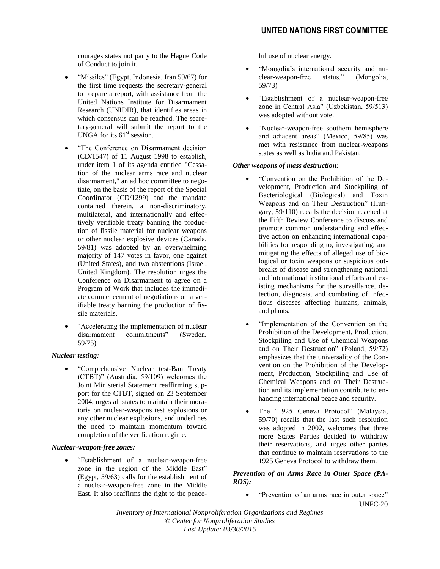courages states not party to the Hague Code of Conduct to join it.

- "Missiles" (Egypt, Indonesia, Iran 59/67) for the first time requests the secretary-general to prepare a report, with assistance from the United Nations Institute for Disarmament Research (UNIDIR), that identifies areas in which consensus can be reached. The secretary-general will submit the report to the UNGA for its  $61<sup>st</sup>$  session.
- "The Conference on Disarmament decision (CD/1547) of 11 August 1998 to establish, under item 1 of its agenda entitled "Cessation of the nuclear arms race and nuclear disarmament," an ad hoc committee to negotiate, on the basis of the report of the Special Coordinator (CD/1299) and the mandate contained therein, a non-discriminatory, multilateral, and internationally and effectively verifiable treaty banning the production of fissile material for nuclear weapons or other nuclear explosive devices (Canada, 59/81) was adopted by an overwhelming majority of 147 votes in favor, one against (United States), and two abstentions (Israel, United Kingdom). The resolution urges the Conference on Disarmament to agree on a Program of Work that includes the immediate commencement of negotiations on a verifiable treaty banning the production of fissile materials.
- "Accelerating the implementation of nuclear disarmament commitments" (Sweden, 59/75)

# *Nuclear testing:*

 "Comprehensive Nuclear test-Ban Treaty (CTBT)" (Australia, 59/109) welcomes the Joint Ministerial Statement reaffirming support for the CTBT, signed on 23 September 2004, urges all states to maintain their moratoria on nuclear-weapons test explosions or any other nuclear explosions, and underlines the need to maintain momentum toward completion of the verification regime.

# *Nuclear-weapon-free zones:*

 "Establishment of a nuclear-weapon-free zone in the region of the Middle East" (Egypt, 59/63) calls for the establishment of a nuclear-weapon-free zone in the Middle East. It also reaffirms the right to the peaceful use of nuclear energy.

- "Mongolia's international security and nuclear-weapon-free status." (Mongolia, 59/73)
- "Establishment of a nuclear-weapon-free zone in Central Asia" (Uzbekistan, 59/513) was adopted without vote.
- "Nuclear-weapon-free southern hemisphere and adjacent areas" (Mexico, 59/85) was met with resistance from nuclear-weapons states as well as India and Pakistan.

#### *Other weapons of mass destruction:*

- "Convention on the Prohibition of the Development, Production and Stockpiling of Bacteriological (Biological) and Toxin Weapons and on Their Destruction" (Hungary, 59/110) recalls the decision reached at the Fifth Review Conference to discuss and promote common understanding and effective action on enhancing international capabilities for responding to, investigating, and mitigating the effects of alleged use of biological or toxin weapons or suspicious outbreaks of disease and strengthening national and international institutional efforts and existing mechanisms for the surveillance, detection, diagnosis, and combating of infectious diseases affecting humans, animals, and plants.
- "Implementation of the Convention on the Prohibition of the Development, Production, Stockpiling and Use of Chemical Weapons and on Their Destruction" (Poland, 59/72) emphasizes that the universality of the Convention on the Prohibition of the Development, Production, Stockpiling and Use of Chemical Weapons and on Their Destruction and its implementation contribute to enhancing international peace and security.
- The "1925 Geneva Protocol" (Malaysia, 59/70) recalls that the last such resolution was adopted in 2002, welcomes that three more States Parties decided to withdraw their reservations, and urges other parties that continue to maintain reservations to the 1925 Geneva Protocol to withdraw them.

#### *Prevention of an Arms Race in Outer Space (PA-ROS):*

UNFC-20 "Prevention of an arms race in outer space"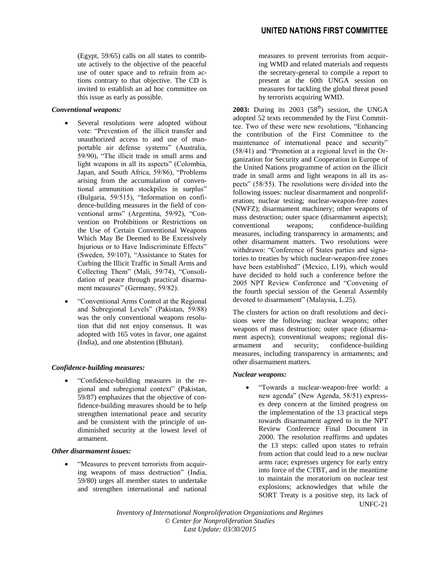(Egypt, 59/65) calls on all states to contribute actively to the objective of the peaceful use of outer space and to refrain from actions contrary to that objective. The CD is invited to establish an ad hoc committee on this issue as early as possible.

#### *Conventional weapons:*

- Several resolutions were adopted without vote: "Prevention of the illicit transfer and unauthorized access to and use of manportable air defense systems" (Australia, 59/90), "The illicit trade in small arms and light weapons in all its aspects" (Colombia, Japan, and South Africa, 59/86), "Problems arising from the accumulation of conventional ammunition stockpiles in surplus" (Bulgaria, 59/515), "Information on confidence-building measures in the field of conventional arms" (Argentina, 59/92), "Convention on Prohibitions or Restrictions on the Use of Certain Conventional Weapons Which May Be Deemed to Be Excessively Injurious or to Have Indiscriminate Effects" (Sweden, 59/107), "Assistance to States for Curbing the Illicit Traffic in Small Arms and Collecting Them" (Mali, 59/74), "Consolidation of peace through practical disarmament measures" (Germany, 59/82).
- "Conventional Arms Control at the Regional and Subregional Levels" (Pakistan, 59/88) was the only conventional weapons resolution that did not enjoy consensus. It was adopted with 165 votes in favor, one against (India), and one abstention (Bhutan).

# *Confidence-building measures:*

 "Confidence-building measures in the regional and subregional context" (Pakistan, 59/87) emphasizes that the objective of confidence-building measures should be to help strengthen international peace and security and be consistent with the principle of undiminished security at the lowest level of armament.

# *Other disarmament issues:*

 "Measures to prevent terrorists from acquiring weapons of mass destruction" (India, 59/80) urges all member states to undertake and strengthen international and national measures to prevent terrorists from acquiring WMD and related materials and requests the secretary-general to compile a report to present at the 60th UNGA session on measures for tackling the global threat posed by terrorists acquiring WMD.

**2003:** During its  $2003$   $(58<sup>th</sup>)$  session, the UNGA adopted 52 texts recommended by the First Committee. Two of these were new resolutions, "Enhancing the contribution of the First Committee to the maintenance of international peace and security" (58/41) and "Promotion at a regional level in the Organization for Security and Cooperation in Europe of the United Nations programme of action on the illicit trade in small arms and light weapons in all its aspects" (58/55). The resolutions were divided into the following issues: nuclear disarmament and nonproliferation; nuclear testing; nuclear-weapon-free zones (NWFZ); disarmament machinery; other weapons of mass destruction; outer space (disarmament aspects); conventional weapons; confidence-building measures, including transparency in armaments; and other disarmament matters. Two resolutions were withdrawn: "Conference of States parties and signatories to treaties by which nuclear-weapon-free zones have been established" (Mexico, L19), which would have decided to hold such a conference before the 2005 NPT Review Conference and "Convening of the fourth special session of the General Assembly devoted to disarmament" (Malaysia, L.25).

The clusters for action on draft resolutions and decisions were the following: nuclear weapons; other weapons of mass destruction; outer space (disarmament aspects); conventional weapons; regional disarmament and security; confidence-building measures, including transparency in armaments; and other disarmament matters.

# *Nuclear weapons:*

UNFC-21 "Towards a nuclear-weapon-free world: a new agenda" (New Agenda, 58/51) expresses deep concern at the limited progress on the implementation of the 13 practical steps towards disarmament agreed to in the NPT Review Conference Final Document in 2000. The resolution reaffirms and updates the 13 steps: called upon states to refrain from action that could lead to a new nuclear arms race; expresses urgency for early entry into force of the CTBT, and in the meantime to maintain the moratorium on nuclear test explosions; acknowledges that while the SORT Treaty is a positive step, its lack of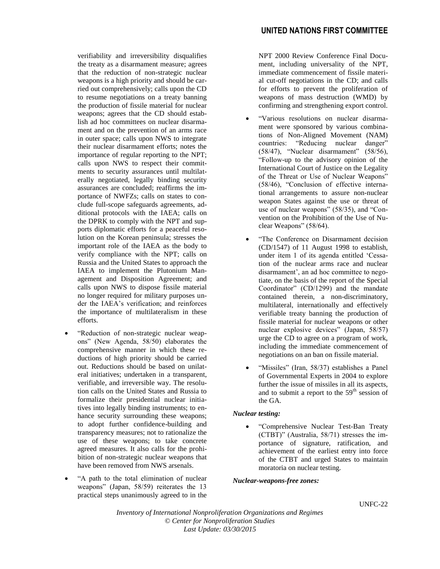verifiability and irreversibility disqualifies the treaty as a disarmament measure; agrees that the reduction of non-strategic nuclear weapons is a high priority and should be carried out comprehensively; calls upon the CD to resume negotiations on a treaty banning the production of fissile material for nuclear weapons; agrees that the CD should establish ad hoc committees on nuclear disarmament and on the prevention of an arms race in outer space; calls upon NWS to integrate their nuclear disarmament efforts; notes the importance of regular reporting to the NPT; calls upon NWS to respect their commitments to security assurances until multilaterally negotiated, legally binding security assurances are concluded; reaffirms the importance of NWFZs; calls on states to conclude full-scope safeguards agreements, additional protocols with the IAEA; calls on the DPRK to comply with the NPT and supports diplomatic efforts for a peaceful resolution on the Korean peninsula; stresses the important role of the IAEA as the body to verify compliance with the NPT; calls on Russia and the United States to approach the IAEA to implement the Plutonium Management and Disposition Agreement; and calls upon NWS to dispose fissile material no longer required for military purposes under the IAEA's verification; and reinforces the importance of multilateralism in these efforts.

- "Reduction of non-strategic nuclear weapons" (New Agenda, 58/50) elaborates the comprehensive manner in which these reductions of high priority should be carried out. Reductions should be based on unilateral initiatives; undertaken in a transparent, verifiable, and irreversible way. The resolution calls on the United States and Russia to formalize their presidential nuclear initiatives into legally binding instruments; to enhance security surrounding these weapons; to adopt further confidence-building and transparency measures; not to rationalize the use of these weapons; to take concrete agreed measures. It also calls for the prohibition of non-strategic nuclear weapons that have been removed from NWS arsenals.
- "A path to the total elimination of nuclear weapons" (Japan, 58/59) reiterates the 13 practical steps unanimously agreed to in the

NPT 2000 Review Conference Final Document, including universality of the NPT, immediate commencement of fissile material cut-off negotiations in the CD; and calls for efforts to prevent the proliferation of weapons of mass destruction (WMD) by confirming and strengthening export control.

- "Various resolutions on nuclear disarmament were sponsored by various combinations of Non-Aligned Movement (NAM) countries: "Reducing nuclear danger" (58/47), "Nuclear disarmament" (58/56), "Follow-up to the advisory opinion of the International Court of Justice on the Legality of the Threat or Use of Nuclear Weapons" (58/46), "Conclusion of effective international arrangements to assure non-nuclear weapon States against the use or threat of use of nuclear weapons" (58/35), and "Convention on the Prohibition of the Use of Nuclear Weapons" (58/64).
- "The Conference on Disarmament decision (CD/1547) of 11 August 1998 to establish, under item 1 of its agenda entitled 'Cessation of the nuclear arms race and nuclear disarmament', an ad hoc committee to negotiate, on the basis of the report of the Special Coordinator" (CD/1299) and the mandate contained therein, a non-discriminatory, multilateral, internationally and effectively verifiable treaty banning the production of fissile material for nuclear weapons or other nuclear explosive devices" (Japan, 58/57) urge the CD to agree on a program of work, including the immediate commencement of negotiations on an ban on fissile material.
- "Missiles" (Iran, 58/37) establishes a Panel of Governmental Experts in 2004 to explore further the issue of missiles in all its aspects, and to submit a report to the  $59<sup>th</sup>$  session of the GA.

# *Nuclear testing:*

 "Comprehensive Nuclear Test-Ban Treaty (CTBT)" (Australia, 58/71) stresses the importance of signature, ratification, and achievement of the earliest entry into force of the CTBT and urged States to maintain moratoria on nuclear testing.

#### *Nuclear-weapons-free zones:*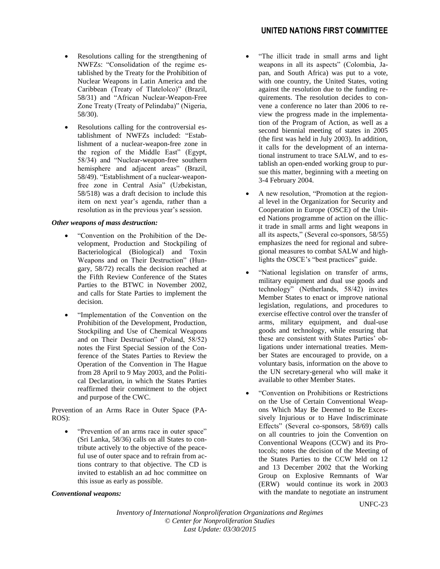- Resolutions calling for the strengthening of NWFZs: "Consolidation of the regime established by the Treaty for the Prohibition of Nuclear Weapons in Latin America and the Caribbean (Treaty of Tlatelolco)" (Brazil, 58/31) and "African Nuclear-Weapon-Free Zone Treaty (Treaty of Pelindaba)" (Nigeria, 58/30).
- Resolutions calling for the controversial establishment of NWFZs included: "Establishment of a nuclear-weapon-free zone in the region of the Middle East" (Egypt, 58/34) and "Nuclear-weapon-free southern hemisphere and adjacent areas" (Brazil, 58/49). "Establishment of a nuclear-weaponfree zone in Central Asia" (Uzbekistan, 58/518) was a draft decision to include this item on next year's agenda, rather than a resolution as in the previous year's session.

#### *Other weapons of mass destruction:*

- "Convention on the Prohibition of the Development, Production and Stockpiling of Bacteriological (Biological) and Toxin Weapons and on Their Destruction" (Hungary, 58/72) recalls the decision reached at the Fifth Review Conference of the States Parties to the BTWC in November 2002, and calls for State Parties to implement the decision.
- "Implementation of the Convention on the Prohibition of the Development, Production, Stockpiling and Use of Chemical Weapons and on Their Destruction" (Poland, 58/52) notes the First Special Session of the Conference of the States Parties to Review the Operation of the Convention in The Hague from 28 April to 9 May 2003, and the Political Declaration, in which the States Parties reaffirmed their commitment to the object and purpose of the CWC.

Prevention of an Arms Race in Outer Space (PA-ROS):

 "Prevention of an arms race in outer space" (Sri Lanka, 58/36) calls on all States to contribute actively to the objective of the peaceful use of outer space and to refrain from actions contrary to that objective. The CD is invited to establish an ad hoc committee on this issue as early as possible.

#### *Conventional weapons:*

- "The illicit trade in small arms and light weapons in all its aspects" (Colombia, Japan, and South Africa) was put to a vote, with one country, the United States, voting against the resolution due to the funding requirements. The resolution decides to convene a conference no later than 2006 to review the progress made in the implementation of the Program of Action, as well as a second biennial meeting of states in 2005 (the first was held in July 2003). In addition, it calls for the development of an international instrument to trace SALW, and to establish an open-ended working group to pursue this matter, beginning with a meeting on 3-4 February 2004.
- A new resolution, "Promotion at the regional level in the Organization for Security and Cooperation in Europe (OSCE) of the United Nations programme of action on the illicit trade in small arms and light weapons in all its aspects," (Several co-sponsors, 58/55) emphasizes the need for regional and subregional measures to combat SALW and highlights the OSCE's "best practices" guide.
- "National legislation on transfer of arms, military equipment and dual use goods and technology" (Netherlands, 58/42) invites Member States to enact or improve national legislation, regulations, and procedures to exercise effective control over the transfer of arms, military equipment, and dual-use goods and technology, while ensuring that these are consistent with States Parties' obligations under international treaties. Member States are encouraged to provide, on a voluntary basis, information on the above to the UN secretary-general who will make it available to other Member States.
- "Convention on Prohibitions or Restrictions on the Use of Certain Conventional Weapons Which May Be Deemed to Be Excessively Injurious or to Have Indiscriminate Effects" (Several co-sponsors, 58/69) calls on all countries to join the Convention on Conventional Weapons (CCW) and its Protocols; notes the decision of the Meeting of the States Parties to the CCW held on 12 and 13 December 2002 that the Working Group on Explosive Remnants of War (ERW) would continue its work in 2003 with the mandate to negotiate an instrument

UNFC-23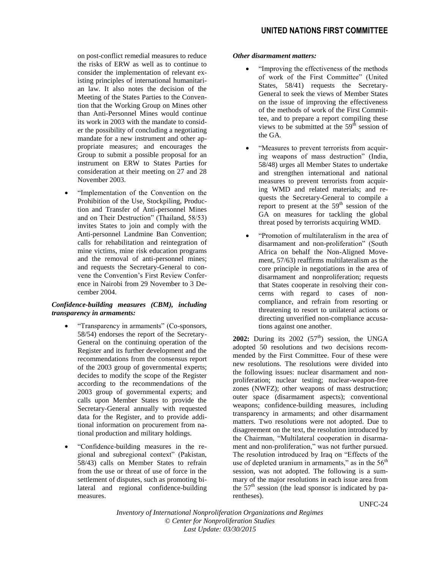on post-conflict remedial measures to reduce the risks of ERW as well as to continue to consider the implementation of relevant existing principles of international humanitarian law. It also notes the decision of the Meeting of the States Parties to the Convention that the Working Group on Mines other than Anti-Personnel Mines would continue its work in 2003 with the mandate to consider the possibility of concluding a negotiating mandate for a new instrument and other appropriate measures; and encourages the Group to submit a possible proposal for an instrument on ERW to States Parties for consideration at their meeting on 27 and 28 November 2003.

 "Implementation of the Convention on the Prohibition of the Use, Stockpiling, Production and Transfer of Anti-personnel Mines and on Their Destruction" (Thailand, 58/53) invites States to join and comply with the Anti-personnel Landmine Ban Convention; calls for rehabilitation and reintegration of mine victims, mine risk education programs and the removal of anti-personnel mines; and requests the Secretary-General to convene the Convention's First Review Conference in Nairobi from 29 November to 3 December 2004.

# *Confidence-building measures (CBM), including transparency in armaments:*

- "Transparency in armaments" (Co-sponsors, 58/54) endorses the report of the Secretary-General on the continuing operation of the Register and its further development and the recommendations from the consensus report of the 2003 group of governmental experts; decides to modify the scope of the Register according to the recommendations of the 2003 group of governmental experts; and calls upon Member States to provide the Secretary-General annually with requested data for the Register, and to provide additional information on procurement from national production and military holdings.
- "Confidence-building measures in the regional and subregional context" (Pakistan, 58/43) calls on Member States to refrain from the use or threat of use of force in the settlement of disputes, such as promoting bilateral and regional confidence-building measures.

# *Other disarmament matters:*

- "Improving the effectiveness of the methods of work of the First Committee" (United States, 58/41) requests the Secretary-General to seek the views of Member States on the issue of improving the effectiveness of the methods of work of the First Committee, and to prepare a report compiling these views to be submitted at the  $59<sup>th</sup>$  session of the GA.
- "Measures to prevent terrorists from acquiring weapons of mass destruction" (India, 58/48) urges all Member States to undertake and strengthen international and national measures to prevent terrorists from acquiring WMD and related materials; and requests the Secretary-General to compile a report to present at the  $59<sup>th</sup>$  session of the GA on measures for tackling the global threat posed by terrorists acquiring WMD.
- "Promotion of multilateralism in the area of disarmament and non-proliferation" (South Africa on behalf the Non-Aligned Movement, 57/63) reaffirms multilateralism as the core principle in negotiations in the area of disarmament and nonproliferation; requests that States cooperate in resolving their concerns with regard to cases of noncompliance, and refrain from resorting or threatening to resort to unilateral actions or directing unverified non-compliance accusations against one another.

**2002:** During its  $2002$   $(57<sup>th</sup>)$  session, the UNGA adopted 50 resolutions and two decisions recommended by the First Committee. Four of these were new resolutions. The resolutions were divided into the following issues: nuclear disarmament and nonproliferation; nuclear testing; nuclear-weapon-free zones (NWFZ); other weapons of mass destruction; outer space (disarmament aspects); conventional weapons; confidence-building measures, including transparency in armaments; and other disarmament matters. Two resolutions were not adopted. Due to disagreement on the text, the resolution introduced by the Chairman, "Multilateral cooperation in disarmament and non-proliferation," was not further pursued. The resolution introduced by Iraq on "Effects of the use of depleted uranium in armaments," as in the  $56<sup>th</sup>$ session, was not adopted. The following is a summary of the major resolutions in each issue area from the  $57<sup>th</sup>$  session (the lead sponsor is indicated by parentheses).

UNFC-24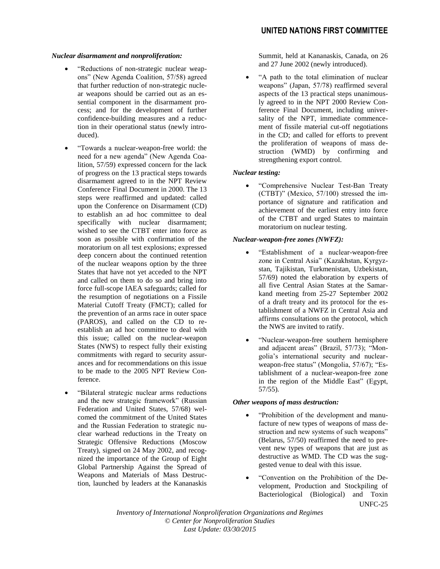#### *Nuclear disarmament and nonproliferation:*

- "Reductions of non-strategic nuclear weapons" (New Agenda Coalition, 57/58) agreed that further reduction of non-strategic nuclear weapons should be carried out as an essential component in the disarmament process; and for the development of further confidence-building measures and a reduction in their operational status (newly introduced).
- "Towards a nuclear-weapon-free world: the need for a new agenda" (New Agenda Coalition, 57/59) expressed concern for the lack of progress on the 13 practical steps towards disarmament agreed to in the NPT Review Conference Final Document in 2000. The 13 steps were reaffirmed and updated: called upon the Conference on Disarmament (CD) to establish an ad hoc committee to deal specifically with nuclear disarmament; wished to see the CTBT enter into force as soon as possible with confirmation of the moratorium on all test explosions; expressed deep concern about the continued retention of the nuclear weapons option by the three States that have not yet acceded to the NPT and called on them to do so and bring into force full-scope IAEA safeguards; called for the resumption of negotiations on a Fissile Material Cutoff Treaty (FMCT); called for the prevention of an arms race in outer space (PAROS), and called on the CD to reestablish an ad hoc committee to deal with this issue; called on the nuclear-weapon States (NWS) to respect fully their existing commitments with regard to security assurances and for recommendations on this issue to be made to the 2005 NPT Review Conference.
- "Bilateral strategic nuclear arms reductions and the new strategic framework" (Russian Federation and United States, 57/68) welcomed the commitment of the United States and the Russian Federation to strategic nuclear warhead reductions in the Treaty on Strategic Offensive Reductions (Moscow Treaty), signed on 24 May 2002, and recognized the importance of the Group of Eight Global Partnership Against the Spread of Weapons and Materials of Mass Destruction, launched by leaders at the Kananaskis

Summit, held at Kananaskis, Canada, on 26 and 27 June 2002 (newly introduced).

 "A path to the total elimination of nuclear weapons" (Japan, 57/78) reaffirmed several aspects of the 13 practical steps unanimously agreed to in the NPT 2000 Review Conference Final Document, including universality of the NPT, immediate commencement of fissile material cut-off negotiations in the CD; and called for efforts to prevent the proliferation of weapons of mass destruction (WMD) by confirming and strengthening export control.

# *Nuclear testing:*

 "Comprehensive Nuclear Test-Ban Treaty (CTBT)" (Mexico, 57/100) stressed the importance of signature and ratification and achievement of the earliest entry into force of the CTBT and urged States to maintain moratorium on nuclear testing.

#### *Nuclear-weapon-free zones (NWFZ):*

- "Establishment of a nuclear-weapon-free zone in Central Asia" (Kazakhstan, Kyrgyzstan, Tajikistan, Turkmenistan, Uzbekistan, 57/69) noted the elaboration by experts of all five Central Asian States at the Samarkand meeting from 25-27 September 2002 of a draft treaty and its protocol for the establishment of a NWFZ in Central Asia and affirms consultations on the protocol, which the NWS are invited to ratify.
- "Nuclear-weapon-free southern hemisphere and adjacent areas" (Brazil, 57/73); "Mongolia's international security and nuclearweapon-free status" (Mongolia, 57/67); "Establishment of a nuclear-weapon-free zone in the region of the Middle East" (Egypt, 57/55).

# *Other weapons of mass destruction:*

- "Prohibition of the development and manufacture of new types of weapons of mass destruction and new systems of such weapons" (Belarus, 57/50) reaffirmed the need to prevent new types of weapons that are just as destructive as WMD. The CD was the suggested venue to deal with this issue.
- UNFC-25 "Convention on the Prohibition of the Development, Production and Stockpiling of Bacteriological (Biological) and Toxin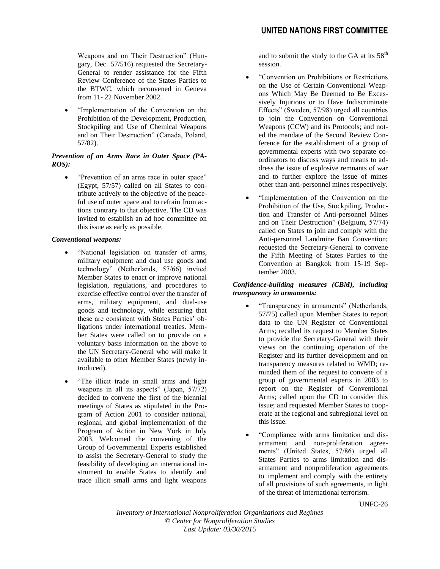Weapons and on Their Destruction" (Hungary, Dec. 57/516) requested the Secretary-General to render assistance for the Fifth Review Conference of the States Parties to the BTWC, which reconvened in Geneva from 11- 22 November 2002.

 "Implementation of the Convention on the Prohibition of the Development, Production, Stockpiling and Use of Chemical Weapons and on Their Destruction" (Canada, Poland, 57/82).

# *Prevention of an Arms Race in Outer Space (PA-ROS):*

 "Prevention of an arms race in outer space" (Egypt, 57/57) called on all States to contribute actively to the objective of the peaceful use of outer space and to refrain from actions contrary to that objective. The CD was invited to establish an ad hoc committee on this issue as early as possible.

# *Conventional weapons:*

- "National legislation on transfer of arms, military equipment and dual use goods and technology" (Netherlands, 57/66) invited Member States to enact or improve national legislation, regulations, and procedures to exercise effective control over the transfer of arms, military equipment, and dual-use goods and technology, while ensuring that these are consistent with States Parties' obligations under international treaties. Member States were called on to provide on a voluntary basis information on the above to the UN Secretary-General who will make it available to other Member States (newly introduced).
- "The illicit trade in small arms and light weapons in all its aspects" (Japan, 57/72) decided to convene the first of the biennial meetings of States as stipulated in the Program of Action 2001 to consider national, regional, and global implementation of the Program of Action in New York in July 2003. Welcomed the convening of the Group of Governmental Experts established to assist the Secretary-General to study the feasibility of developing an international instrument to enable States to identify and trace illicit small arms and light weapons

and to submit the study to the GA at its  $58<sup>th</sup>$ session.

- "Convention on Prohibitions or Restrictions on the Use of Certain Conventional Weapons Which May Be Deemed to Be Excessively Injurious or to Have Indiscriminate Effects" (Sweden, 57/98) urged all countries to join the Convention on Conventional Weapons (CCW) and its Protocols; and noted the mandate of the Second Review Conference for the establishment of a group of governmental experts with two separate coordinators to discuss ways and means to address the issue of explosive remnants of war and to further explore the issue of mines other than anti-personnel mines respectively.
- "Implementation of the Convention on the Prohibition of the Use, Stockpiling, Production and Transfer of Anti-personnel Mines and on Their Destruction" (Belgium, 57/74) called on States to join and comply with the Anti-personnel Landmine Ban Convention; requested the Secretary-General to convene the Fifth Meeting of States Parties to the Convention at Bangkok from 15-19 September 2003.

# *Confidence-building measures (CBM), including transparency in armaments:*

- "Transparency in armaments" (Netherlands, 57/75) called upon Member States to report data to the UN Register of Conventional Arms; recalled its request to Member States to provide the Secretary-General with their views on the continuing operation of the Register and its further development and on transparency measures related to WMD; reminded them of the request to convene of a group of governmental experts in 2003 to report on the Register of Conventional Arms; called upon the CD to consider this issue; and requested Member States to cooperate at the regional and subregional level on this issue.
- "Compliance with arms limitation and disarmament and non-proliferation agreements" (United States, 57/86) urged all States Parties to arms limitation and disarmament and nonproliferation agreements to implement and comply with the entirety of all provisions of such agreements, in light of the threat of international terrorism.

UNFC-26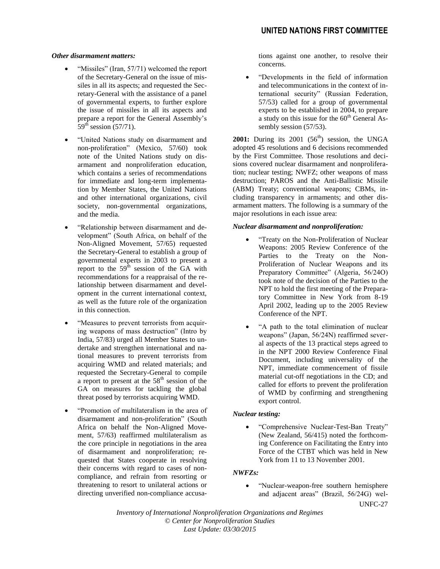#### *Other disarmament matters:*

- "Missiles" (Iran, 57/71) welcomed the report of the Secretary-General on the issue of missiles in all its aspects; and requested the Secretary-General with the assistance of a panel of governmental experts, to further explore the issue of missiles in all its aspects and prepare a report for the General Assembly's  $59<sup>th</sup>$  session (57/71).
- "United Nations study on disarmament and non-proliferation" (Mexico, 57/60) took note of the United Nations study on disarmament and nonproliferation education, which contains a series of recommendations for immediate and long-term implementation by Member States, the United Nations and other international organizations, civil society, non-governmental organizations, and the media.
- "Relationship between disarmament and development" (South Africa, on behalf of the Non-Aligned Movement, 57/65) requested the Secretary-General to establish a group of governmental experts in 2003 to present a report to the  $59<sup>th</sup>$  session of the GA with recommendations for a reappraisal of the relationship between disarmament and development in the current international context, as well as the future role of the organization in this connection.
- "Measures to prevent terrorists from acquiring weapons of mass destruction" (Intro by India, 57/83) urged all Member States to undertake and strengthen international and national measures to prevent terrorists from acquiring WMD and related materials; and requested the Secretary-General to compile a report to present at the  $58<sup>th</sup>$  session of the GA on measures for tackling the global threat posed by terrorists acquiring WMD.
- "Promotion of multilateralism in the area of disarmament and non-proliferation" (South Africa on behalf the Non-Aligned Movement, 57/63) reaffirmed multilateralism as the core principle in negotiations in the area of disarmament and nonproliferation; requested that States cooperate in resolving their concerns with regard to cases of noncompliance, and refrain from resorting or threatening to resort to unilateral actions or directing unverified non-compliance accusa-

tions against one another, to resolve their concerns.

 "Developments in the field of information and telecommunications in the context of international security" (Russian Federation, 57/53) called for a group of governmental experts to be established in 2004, to prepare a study on this issue for the  $60<sup>th</sup>$  General Assembly session (57/53).

**2001:** During its  $2001$   $(56<sup>th</sup>)$  session, the UNGA adopted 45 resolutions and 6 decisions recommended by the First Committee. Those resolutions and decisions covered nuclear disarmament and nonproliferation; nuclear testing; NWFZ; other weapons of mass destruction; PAROS and the Anti-Ballistic Missile (ABM) Treaty; conventional weapons; CBMs, including transparency in armaments; and other disarmament matters. The following is a summary of the major resolutions in each issue area:

#### *Nuclear disarmament and nonproliferation:*

- "Treaty on the Non-Proliferation of Nuclear Weapons: 2005 Review Conference of the Parties to the Treaty on the Non-Proliferation of Nuclear Weapons and its Preparatory Committee" (Algeria, 56/24O) took note of the decision of the Parties to the NPT to hold the first meeting of the Preparatory Committee in New York from 8-19 April 2002, leading up to the 2005 Review Conference of the NPT.
- "A path to the total elimination of nuclear weapons" (Japan, 56/24N) reaffirmed several aspects of the 13 practical steps agreed to in the NPT 2000 Review Conference Final Document, including universality of the NPT, immediate commencement of fissile material cut-off negotiations in the CD; and called for efforts to prevent the proliferation of WMD by confirming and strengthening export control.

#### *Nuclear testing:*

 "Comprehensive Nuclear-Test-Ban Treaty" (New Zealand, 56/415) noted the forthcoming Conference on Facilitating the Entry into Force of the CTBT which was held in New York from 11 to 13 November 2001.

# *NWFZs:*

 "Nuclear-weapon-free southern hemisphere and adjacent areas" (Brazil, 56/24G) wel-

UNFC-27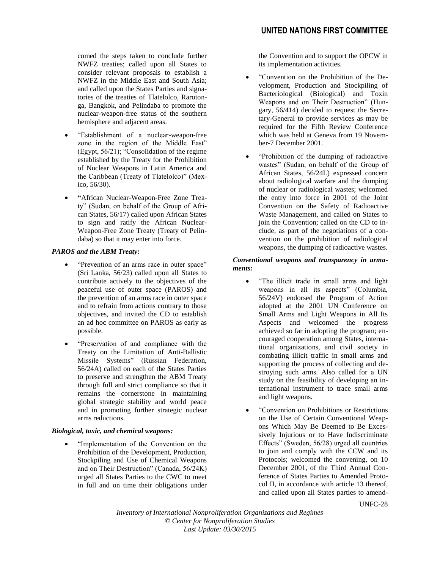comed the steps taken to conclude further NWFZ treaties; called upon all States to consider relevant proposals to establish a NWFZ in the Middle East and South Asia; and called upon the States Parties and signatories of the treaties of Tlatelolco, Rarotonga, Bangkok, and Pelindaba to promote the nuclear-weapon-free status of the southern hemisphere and adjacent areas.

- "Establishment of a nuclear-weapon-free zone in the region of the Middle East" (Egypt, 56/21); "Consolidation of the regime established by the Treaty for the Prohibition of Nuclear Weapons in Latin America and the Caribbean (Treaty of Tlatelolco)" (Mexico, 56/30).
- **"**African Nuclear-Weapon-Free Zone Treaty" (Sudan, on behalf of the Group of African States, 56/17) called upon African States to sign and ratify the African Nuclear-Weapon-Free Zone Treaty (Treaty of Pelindaba) so that it may enter into force.

# *PAROS and the ABM Treaty:*

- "Prevention of an arms race in outer space" (Sri Lanka, 56/23) called upon all States to contribute actively to the objectives of the peaceful use of outer space (PAROS) and the prevention of an arms race in outer space and to refrain from actions contrary to those objectives, and invited the CD to establish an ad hoc committee on PAROS as early as possible.
- "Preservation of and compliance with the Treaty on the Limitation of Anti-Ballistic Missile Systems" (Russian Federation, 56/24A) called on each of the States Parties to preserve and strengthen the ABM Treaty through full and strict compliance so that it remains the cornerstone in maintaining global strategic stability and world peace and in promoting further strategic nuclear arms reductions.

# *Biological, toxic, and chemical weapons:*

 "Implementation of the Convention on the Prohibition of the Development, Production, Stockpiling and Use of Chemical Weapons and on Their Destruction" (Canada, 56/24K) urged all States Parties to the CWC to meet in full and on time their obligations under

the Convention and to support the OPCW in its implementation activities.

- "Convention on the Prohibition of the Development, Production and Stockpiling of Bacteriological (Biological) and Toxin Weapons and on Their Destruction" (Hungary, 56/414) decided to request the Secretary-General to provide services as may be required for the Fifth Review Conference which was held at Geneva from 19 November-7 December 2001.
- "Prohibition of the dumping of radioactive wastes" (Sudan, on behalf of the Group of African States, 56/24L) expressed concern about radiological warfare and the dumping of nuclear or radiological wastes; welcomed the entry into force in 2001 of the Joint Convention on the Safety of Radioactive Waste Management, and called on States to join the Convention; called on the CD to include, as part of the negotiations of a convention on the prohibition of radiological weapons, the dumping of radioactive wastes.

#### *Conventional weapons and transparency in armaments:*

- "The illicit trade in small arms and light weapons in all its aspects" (Columbia, 56/24V) endorsed the Program of Action adopted at the 2001 UN Conference on Small Arms and Light Weapons in All Its Aspects and welcomed the progress achieved so far in adopting the program; encouraged cooperation among States, international organizations, and civil society in combating illicit traffic in small arms and supporting the process of collecting and destroying such arms. Also called for a UN study on the feasibility of developing an international instrument to trace small arms and light weapons.
- "Convention on Prohibitions or Restrictions on the Use of Certain Conventional Weapons Which May Be Deemed to Be Excessively Injurious or to Have Indiscriminate Effects" (Sweden, 56/28) urged all countries to join and comply with the CCW and its Protocols; welcomed the convening, on 10 December 2001, of the Third Annual Conference of States Parties to Amended Protocol II, in accordance with article 13 thereof, and called upon all States parties to amend-

UNFC-28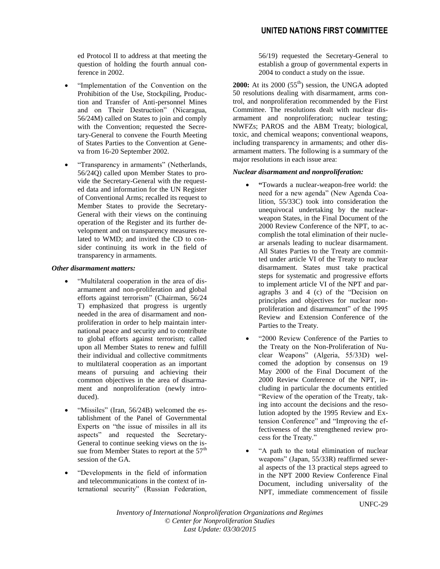# **UNITED NATIONS FIRST COMMITTEE**

ed Protocol II to address at that meeting the question of holding the fourth annual conference in 2002.

- "Implementation of the Convention on the Prohibition of the Use, Stockpiling, Production and Transfer of Anti-personnel Mines and on Their Destruction" (Nicaragua, 56/24M) called on States to join and comply with the Convention; requested the Secretary-General to convene the Fourth Meeting of States Parties to the Convention at Geneva from 16-20 September 2002.
- "Transparency in armaments" (Netherlands, 56/24Q) called upon Member States to provide the Secretary-General with the requested data and information for the UN Register of Conventional Arms; recalled its request to Member States to provide the Secretary-General with their views on the continuing operation of the Register and its further development and on transparency measures related to WMD; and invited the CD to consider continuing its work in the field of transparency in armaments.

#### *Other disarmament matters:*

- "Multilateral cooperation in the area of disarmament and non-proliferation and global efforts against terrorism" (Chairman, 56/24 T) emphasized that progress is urgently needed in the area of disarmament and nonproliferation in order to help maintain international peace and security and to contribute to global efforts against terrorism; called upon all Member States to renew and fulfill their individual and collective commitments to multilateral cooperation as an important means of pursuing and achieving their common objectives in the area of disarmament and nonproliferation (newly introduced).
- "Missiles" (Iran, 56/24B) welcomed the establishment of the Panel of Governmental Experts on "the issue of missiles in all its aspects" and requested the Secretary-General to continue seeking views on the issue from Member States to report at the 57<sup>th</sup> session of the GA.
- "Developments in the field of information and telecommunications in the context of international security" (Russian Federation,

56/19) requested the Secretary-General to establish a group of governmental experts in 2004 to conduct a study on the issue.

**2000:** At its  $2000$  ( $55<sup>th</sup>$ ) session, the UNGA adopted 50 resolutions dealing with disarmament, arms control, and nonproliferation recommended by the First Committee. The resolutions dealt with nuclear disarmament and nonproliferation; nuclear testing; NWFZs; PAROS and the ABM Treaty; biological, toxic, and chemical weapons; conventional weapons, including transparency in armaments; and other disarmament matters. The following is a summary of the major resolutions in each issue area:

#### *Nuclear disarmament and nonproliferation:*

- **"**Towards a nuclear-weapon-free world: the need for a new agenda" (New Agenda Coalition, 55/33C) took into consideration the unequivocal undertaking by the nuclearweapon States, in the Final Document of the 2000 Review Conference of the NPT, to accomplish the total elimination of their nuclear arsenals leading to nuclear disarmament. All States Parties to the Treaty are committed under article VI of the Treaty to nuclear disarmament. States must take practical steps for systematic and progressive efforts to implement article VI of the NPT and paragraphs 3 and 4 (c) of the "Decision on principles and objectives for nuclear nonproliferation and disarmament" of the 1995 Review and Extension Conference of the Parties to the Treaty.
- "2000 Review Conference of the Parties to the Treaty on the Non-Proliferation of Nuclear Weapons" (Algeria, 55/33D) welcomed the adoption by consensus on 19 May 2000 of the Final Document of the 2000 Review Conference of the NPT, including in particular the documents entitled "Review of the operation of the Treaty, taking into account the decisions and the resolution adopted by the 1995 Review and Extension Conference" and "Improving the effectiveness of the strengthened review process for the Treaty."
- "A path to the total elimination of nuclear weapons" (Japan, 55/33R) reaffirmed several aspects of the 13 practical steps agreed to in the NPT 2000 Review Conference Final Document, including universality of the NPT, immediate commencement of fissile

UNFC-29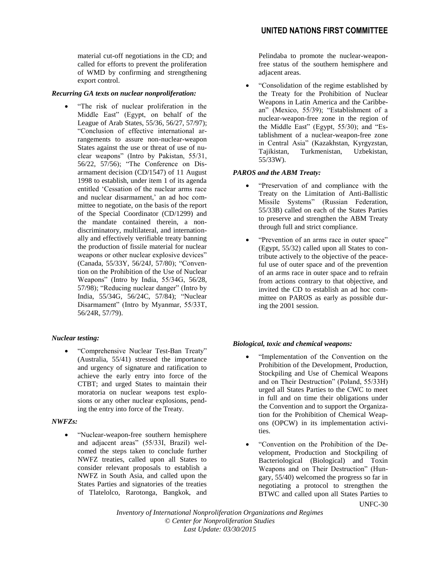material cut-off negotiations in the CD; and called for efforts to prevent the proliferation of WMD by confirming and strengthening export control.

#### *Recurring GA texts on nuclear nonproliferation:*

 "The risk of nuclear proliferation in the Middle East" (Egypt, on behalf of the League of Arab States, 55/36, 56/27, 57/97); "Conclusion of effective international arrangements to assure non-nuclear-weapon States against the use or threat of use of nuclear weapons" (Intro by Pakistan, 55/31, 56/22, 57/56); "The Conference on Disarmament decision (CD/1547) of 11 August 1998 to establish, under item 1 of its agenda entitled 'Cessation of the nuclear arms race and nuclear disarmament,' an ad hoc committee to negotiate, on the basis of the report of the Special Coordinator (CD/1299) and the mandate contained therein, a nondiscriminatory, multilateral, and internationally and effectively verifiable treaty banning the production of fissile material for nuclear weapons or other nuclear explosive devices" (Canada, 55/33Y, 56/24J, 57/80); "Convention on the Prohibition of the Use of Nuclear Weapons" (Intro by India, 55/34G, 56/28, 57/98); "Reducing nuclear danger" (Intro by India, 55/34G, 56/24C, 57/84); "Nuclear Disarmament" (Intro by Myanmar, 55/33T, 56/24R, 57/79).

# *Nuclear testing:*

 "Comprehensive Nuclear Test-Ban Treaty" (Australia, 55/41) stressed the importance and urgency of signature and ratification to achieve the early entry into force of the CTBT; and urged States to maintain their moratoria on nuclear weapons test explosions or any other nuclear explosions, pending the entry into force of the Treaty.

# *NWFZs:*

 "Nuclear-weapon-free southern hemisphere and adjacent areas" (55/33I, Brazil) welcomed the steps taken to conclude further NWFZ treaties, called upon all States to consider relevant proposals to establish a NWFZ in South Asia, and called upon the States Parties and signatories of the treaties of Tlatelolco, Rarotonga, Bangkok, and Pelindaba to promote the nuclear-weaponfree status of the southern hemisphere and adjacent areas.

 "Consolidation of the regime established by the Treaty for the Prohibition of Nuclear Weapons in Latin America and the Caribbean" (Mexico, 55/39); "Establishment of a nuclear-weapon-free zone in the region of the Middle East" (Egypt, 55/30); and "Establishment of a nuclear-weapon-free zone in Central Asia" (Kazakhstan, Kyrgyzstan, Tajikistan, Turkmenistan, Uzbekistan, 55/33W).

# *PAROS and the ABM Treaty:*

- "Preservation of and compliance with the Treaty on the Limitation of Anti-Ballistic Missile Systems" (Russian Federation, 55/33B) called on each of the States Parties to preserve and strengthen the ABM Treaty through full and strict compliance.
- "Prevention of an arms race in outer space" (Egypt, 55/32) called upon all States to contribute actively to the objective of the peaceful use of outer space and of the prevention of an arms race in outer space and to refrain from actions contrary to that objective, and invited the CD to establish an ad hoc committee on PAROS as early as possible during the 2001 session.

# *Biological, toxic and chemical weapons:*

- "Implementation of the Convention on the Prohibition of the Development, Production, Stockpiling and Use of Chemical Weapons and on Their Destruction" (Poland, 55/33H) urged all States Parties to the CWC to meet in full and on time their obligations under the Convention and to support the Organization for the Prohibition of Chemical Weapons (OPCW) in its implementation activities.
- UNFC-30 "Convention on the Prohibition of the Development, Production and Stockpiling of Bacteriological (Biological) and Toxin Weapons and on Their Destruction" (Hungary, 55/40) welcomed the progress so far in negotiating a protocol to strengthen the BTWC and called upon all States Parties to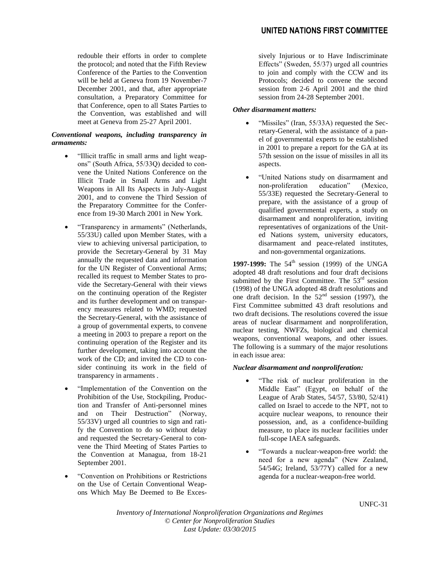redouble their efforts in order to complete the protocol; and noted that the Fifth Review Conference of the Parties to the Convention will be held at Geneva from 19 November-7 December 2001, and that, after appropriate consultation, a Preparatory Committee for that Conference, open to all States Parties to the Convention, was established and will meet at Geneva from 25-27 April 2001.

# *Conventional weapons, including transparency in armaments:*

- "Illicit traffic in small arms and light weapons" (South Africa, 55/33Q) decided to convene the United Nations Conference on the Illicit Trade in Small Arms and Light Weapons in All Its Aspects in July-August 2001, and to convene the Third Session of the Preparatory Committee for the Conference from 19-30 March 2001 in New York.
- "Transparency in armaments" (Netherlands, 55/33U) called upon Member States, with a view to achieving universal participation, to provide the Secretary-General by 31 May annually the requested data and information for the UN Register of Conventional Arms; recalled its request to Member States to provide the Secretary-General with their views on the continuing operation of the Register and its further development and on transparency measures related to WMD; requested the Secretary-General, with the assistance of a group of governmental experts, to convene a meeting in 2003 to prepare a report on the continuing operation of the Register and its further development, taking into account the work of the CD; and invited the CD to consider continuing its work in the field of transparency in armaments .
- "Implementation of the Convention on the Prohibition of the Use, Stockpiling, Production and Transfer of Anti-personnel mines and on Their Destruction" (Norway, 55/33V) urged all countries to sign and ratify the Convention to do so without delay and requested the Secretary-General to convene the Third Meeting of States Parties to the Convention at Managua, from 18-21 September 2001.
- "Convention on Prohibitions or Restrictions on the Use of Certain Conventional Weapons Which May Be Deemed to Be Exces-

sively Injurious or to Have Indiscriminate Effects" (Sweden, 55/37) urged all countries to join and comply with the CCW and its Protocols; decided to convene the second session from 2-6 April 2001 and the third session from 24-28 September 2001.

# *Other disarmament matters:*

- "Missiles" (Iran, 55/33A) requested the Secretary-General, with the assistance of a panel of governmental experts to be established in 2001 to prepare a report for the GA at its 57th session on the issue of missiles in all its aspects.
- "United Nations study on disarmament and non-proliferation education" (Mexico, 55/33E) requested the Secretary-General to prepare, with the assistance of a group of qualified governmental experts, a study on disarmament and nonproliferation, inviting representatives of organizations of the United Nations system, university educators, disarmament and peace-related institutes, and non-governmental organizations.

**1997-1999:** The 54<sup>th</sup> session (1999) of the UNGA adopted 48 draft resolutions and four draft decisions submitted by the First Committee. The  $53<sup>rd</sup>$  session (1998) of the UNGA adopted 48 draft resolutions and one draft decision. In the  $52<sup>nd</sup>$  session (1997), the First Committee submitted 43 draft resolutions and two draft decisions. The resolutions covered the issue areas of nuclear disarmament and nonproliferation, nuclear testing, NWFZs, biological and chemical weapons, conventional weapons, and other issues. The following is a summary of the major resolutions in each issue area:

# *Nuclear disarmament and nonproliferation:*

- "The risk of nuclear proliferation in the Middle East" (Egypt, on behalf of the League of Arab States, 54/57, 53/80, 52/41) called on Israel to accede to the NPT, not to acquire nuclear weapons, to renounce their possession, and, as a confidence-building measure, to place its nuclear facilities under full-scope IAEA safeguards.
- "Towards a nuclear-weapon-free world: the need for a new agenda" (New Zealand, 54/54G; Ireland, 53/77Y) called for a new agenda for a nuclear-weapon-free world.

UNFC-31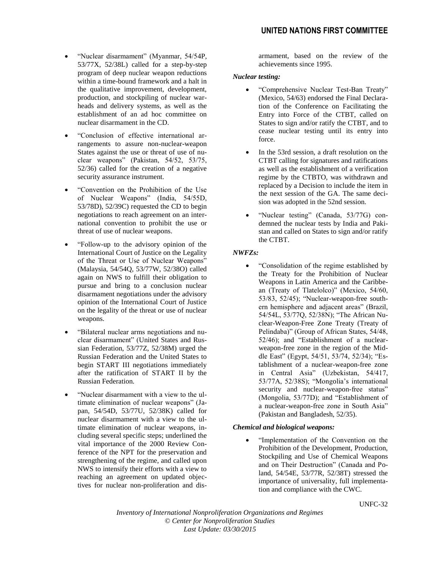- "Nuclear disarmament" (Myanmar, 54/54P, 53/77X, 52/38L) called for a step-by-step program of deep nuclear weapon reductions within a time-bound framework and a halt in the qualitative improvement, development, production, and stockpiling of nuclear warheads and delivery systems, as well as the establishment of an ad hoc committee on nuclear disarmament in the CD.
- "Conclusion of effective international arrangements to assure non-nuclear-weapon States against the use or threat of use of nuclear weapons" (Pakistan, 54/52, 53/75, 52/36) called for the creation of a negative security assurance instrument.
- "Convention on the Prohibition of the Use of Nuclear Weapons" (India, 54/55D, 53/78D), 52/39C) requested the CD to begin negotiations to reach agreement on an international convention to prohibit the use or threat of use of nuclear weapons.
- "Follow-up to the advisory opinion of the International Court of Justice on the Legality of the Threat or Use of Nuclear Weapons" (Malaysia, 54/54Q, 53/77W, 52/38O) called again on NWS to fulfill their obligation to pursue and bring to a conclusion nuclear disarmament negotiations under the advisory opinion of the International Court of Justice on the legality of the threat or use of nuclear weapons.
- "Bilateral nuclear arms negotiations and nuclear disarmament" (United States and Russian Federation, 53/77Z, 52/38M) urged the Russian Federation and the United States to begin START III negotiations immediately after the ratification of START II by the Russian Federation.
- "Nuclear disarmament with a view to the ultimate elimination of nuclear weapons" (Japan, 54/54D, 53/77U, 52/38K) called for nuclear disarmament with a view to the ultimate elimination of nuclear weapons, including several specific steps; underlined the vital importance of the 2000 Review Conference of the NPT for the preservation and strengthening of the regime, and called upon NWS to intensify their efforts with a view to reaching an agreement on updated objectives for nuclear non-proliferation and dis-

armament, based on the review of the achievements since 1995.

#### *Nuclear testing:*

- "Comprehensive Nuclear Test-Ban Treaty" (Mexico, 54/63) endorsed the Final Declaration of the Conference on Facilitating the Entry into Force of the CTBT, called on States to sign and/or ratify the CTBT, and to cease nuclear testing until its entry into force.
- In the 53rd session, a draft resolution on the CTBT calling for signatures and ratifications as well as the establishment of a verification regime by the CTBTO, was withdrawn and replaced by a Decision to include the item in the next session of the GA. The same decision was adopted in the 52nd session.
- "Nuclear testing" (Canada, 53/77G) condemned the nuclear tests by India and Pakistan and called on States to sign and/or ratify the CTBT.

# *NWFZs:*

 "Consolidation of the regime established by the Treaty for the Prohibition of Nuclear Weapons in Latin America and the Caribbean (Treaty of Tlatelolco)" (Mexico, 54/60, 53/83, 52/45); "Nuclear-weapon-free southern hemisphere and adjacent areas" (Brazil, 54/54L, 53/77Q, 52/38N); "The African Nuclear-Weapon-Free Zone Treaty (Treaty of Pelindaba)" (Group of African States, 54/48, 52/46); and "Establishment of a nuclearweapon-free zone in the region of the Middle East" (Egypt, 54/51, 53/74, 52/34); "Establishment of a nuclear-weapon-free zone in Central Asia" (Uzbekistan, 54/417, 53/77A, 52/38S); "Mongolia's international security and nuclear-weapon-free status" (Mongolia, 53/77D); and "Establishment of a nuclear-weapon-free zone in South Asia" (Pakistan and Bangladesh, 52/35).

# *Chemical and biological weapons:*

 "Implementation of the Convention on the Prohibition of the Development, Production, Stockpiling and Use of Chemical Weapons and on Their Destruction" (Canada and Poland, 54/54E, 53/77R, 52/38T) stressed the importance of universality, full implementation and compliance with the CWC.

UNFC-32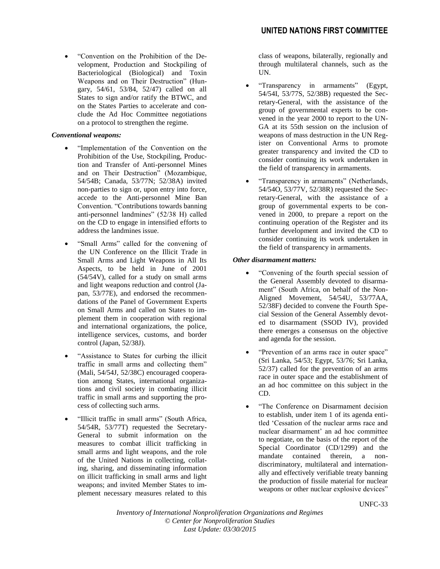"Convention on the Prohibition of the Development, Production and Stockpiling of Bacteriological (Biological) and Toxin Weapons and on Their Destruction" (Hungary, 54/61, 53/84, 52/47) called on all States to sign and/or ratify the BTWC, and on the States Parties to accelerate and conclude the Ad Hoc Committee negotiations on a protocol to strengthen the regime.

# *Conventional weapons:*

- "Implementation of the Convention on the Prohibition of the Use, Stockpiling, Production and Transfer of Anti-personnel Mines and on Their Destruction" (Mozambique, 54/54B; Canada, 53/77N; 52/38A) invited non-parties to sign or, upon entry into force, accede to the Anti-personnel Mine Ban Convention. "Contributions towards banning anti-personnel landmines" (52/38 H) called on the CD to engage in intensified efforts to address the landmines issue.
- "Small Arms" called for the convening of the UN Conference on the Illicit Trade in Small Arms and Light Weapons in All Its Aspects, to be held in June of 2001  $(54/54V)$ , called for a study on small arms and light weapons reduction and control (Japan, 53/77E), and endorsed the recommendations of the Panel of Government Experts on Small Arms and called on States to implement them in cooperation with regional and international organizations, the police, intelligence services, customs, and border control (Japan, 52/38J).
- "Assistance to States for curbing the illicit traffic in small arms and collecting them" (Mali, 54/54J, 52/38C) encouraged cooperation among States, international organizations and civil society in combating illicit traffic in small arms and supporting the process of collecting such arms.
- "Illicit traffic in small arms" (South Africa, 54/54R, 53/77T) requested the Secretary-General to submit information on the measures to combat illicit trafficking in small arms and light weapons, and the role of the United Nations in collecting, collating, sharing, and disseminating information on illicit trafficking in small arms and light weapons; and invited Member States to implement necessary measures related to this

class of weapons, bilaterally, regionally and through multilateral channels, such as the UN.

- "Transparency in armaments" (Egypt, 54/54I, 53/77S, 52/38B) requested the Secretary-General, with the assistance of the group of governmental experts to be convened in the year 2000 to report to the UN-GA at its 55th session on the inclusion of weapons of mass destruction in the UN Register on Conventional Arms to promote greater transparency and invited the CD to consider continuing its work undertaken in the field of transparency in armaments.
- "Transparency in armaments" (Netherlands, 54/54O, 53/77V, 52/38R) requested the Secretary-General, with the assistance of a group of governmental experts to be convened in 2000, to prepare a report on the continuing operation of the Register and its further development and invited the CD to consider continuing its work undertaken in the field of transparency in armaments.

# *Other disarmament matters:*

- "Convening of the fourth special session of the General Assembly devoted to disarmament" (South Africa, on behalf of the Non-Aligned Movement, 54/54U, 53/77AA, 52/38F) decided to convene the Fourth Special Session of the General Assembly devoted to disarmament (SSOD IV), provided there emerges a consensus on the objective and agenda for the session.
- "Prevention of an arms race in outer space" (Sri Lanka, 54/53; Egypt, 53/76; Sri Lanka, 52/37) called for the prevention of an arms race in outer space and the establishment of an ad hoc committee on this subject in the CD.
- "The Conference on Disarmament decision to establish, under item 1 of its agenda entitled 'Cessation of the nuclear arms race and nuclear disarmament' an ad hoc committee to negotiate, on the basis of the report of the Special Coordinator (CD/1299) and the mandate contained therein, a nondiscriminatory, multilateral and internationally and effectively verifiable treaty banning the production of fissile material for nuclear weapons or other nuclear explosive devices"

UNFC-33